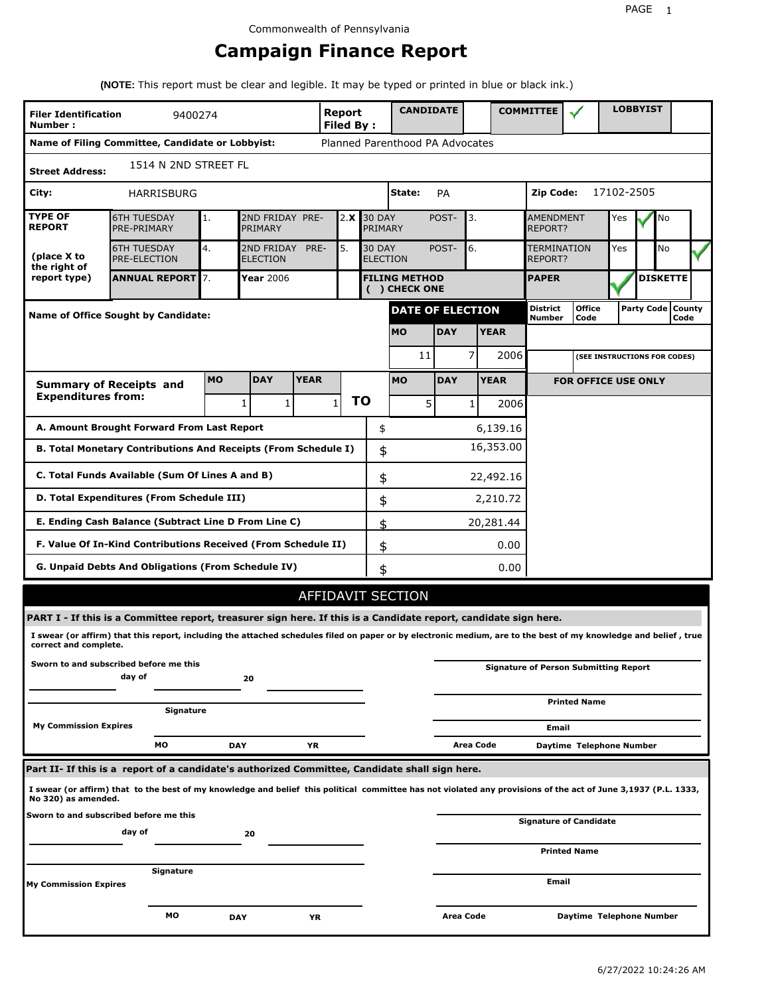# **Campaign Finance Report**

**(NOTE:** This report must be clear and legible. It may be typed or printed in blue or black ink.)

| <b>Filer Identification</b><br>Number: | 9400274                                                                                                                                                         |            |                               |             | <b>Report</b><br>Filed By: |                                  | <b>CANDIDATE</b>                     |            |                  |             | <b>COMMITTEE</b>                   |                                              |            | <b>LOBBYIST</b>     |                 |  |
|----------------------------------------|-----------------------------------------------------------------------------------------------------------------------------------------------------------------|------------|-------------------------------|-------------|----------------------------|----------------------------------|--------------------------------------|------------|------------------|-------------|------------------------------------|----------------------------------------------|------------|---------------------|-----------------|--|
|                                        | Name of Filing Committee, Candidate or Lobbyist:                                                                                                                |            |                               |             |                            |                                  | Planned Parenthood PA Advocates      |            |                  |             |                                    |                                              |            |                     |                 |  |
| <b>Street Address:</b>                 | 1514 N 2ND STREET FL                                                                                                                                            |            |                               |             |                            |                                  |                                      |            |                  |             |                                    |                                              |            |                     |                 |  |
| City:                                  | HARRISBURG                                                                                                                                                      |            |                               |             |                            |                                  | State:                               | PA         |                  |             | Zip Code:                          |                                              | 17102-2505 |                     |                 |  |
| <b>TYPE OF</b><br><b>REPORT</b>        | <b>6TH TUESDAY</b><br>PRE-PRIMARY                                                                                                                               | 1.         | 2ND FRIDAY PRE-<br>PRIMARY    |             | 2.X                        | <b>30 DAY</b><br>PRIMARY         |                                      | POST-      | 3.               |             | <b>AMENDMENT</b><br><b>REPORT?</b> |                                              | Yes        |                     | No              |  |
| (place X to<br>the right of            | <b>6TH TUESDAY</b><br><b>PRE-ELECTION</b>                                                                                                                       | 4.         | 2ND FRIDAY<br><b>ELECTION</b> | PRE-        | 5.                         | <b>30 DAY</b><br><b>ELECTION</b> |                                      | POST-      | 6.               |             | <b>TERMINATION</b><br>REPORT?      |                                              | Yes        |                     | No              |  |
| report type)                           | <b>ANNUAL REPORT</b> 7.                                                                                                                                         |            | Year 2006                     |             |                            |                                  | <b>FILING METHOD</b><br>() CHECK ONE |            |                  |             | <b>PAPER</b>                       |                                              |            |                     | <b>DISKETTE</b> |  |
|                                        | Name of Office Sought by Candidate:                                                                                                                             |            |                               |             |                            |                                  | <b>DATE OF ELECTION</b>              |            |                  |             | <b>District</b><br><b>Number</b>   | <b>Office</b><br>Code                        |            | Party Code   County | Code            |  |
|                                        |                                                                                                                                                                 |            |                               |             |                            |                                  | <b>MO</b>                            | <b>DAY</b> |                  | <b>YEAR</b> |                                    |                                              |            |                     |                 |  |
|                                        |                                                                                                                                                                 |            |                               |             |                            |                                  | 11                                   |            | 7                | 2006        |                                    | (SEE INSTRUCTIONS FOR CODES)                 |            |                     |                 |  |
|                                        | <b>Summary of Receipts and</b>                                                                                                                                  | <b>MO</b>  | <b>DAY</b>                    | <b>YEAR</b> |                            |                                  | <b>MO</b>                            | <b>DAY</b> |                  | <b>YEAR</b> |                                    | <b>FOR OFFICE USE ONLY</b>                   |            |                     |                 |  |
| <b>Expenditures from:</b>              |                                                                                                                                                                 |            | 1<br>1                        |             | ΤO<br>$\mathbf{1}$         |                                  | 5                                    |            | $\mathbf{1}$     | 2006        |                                    |                                              |            |                     |                 |  |
|                                        | A. Amount Brought Forward From Last Report                                                                                                                      |            |                               |             |                            | \$                               |                                      |            |                  | 6,139.16    |                                    |                                              |            |                     |                 |  |
|                                        | B. Total Monetary Contributions And Receipts (From Schedule I)                                                                                                  |            |                               |             |                            | \$                               |                                      |            |                  | 16,353.00   |                                    |                                              |            |                     |                 |  |
|                                        | C. Total Funds Available (Sum Of Lines A and B)                                                                                                                 |            |                               |             |                            | \$                               |                                      |            |                  | 22,492.16   |                                    |                                              |            |                     |                 |  |
|                                        | D. Total Expenditures (From Schedule III)                                                                                                                       |            |                               |             |                            | \$                               |                                      |            |                  | 2,210.72    |                                    |                                              |            |                     |                 |  |
|                                        | E. Ending Cash Balance (Subtract Line D From Line C)                                                                                                            |            |                               |             |                            | \$                               |                                      |            |                  | 20,281.44   |                                    |                                              |            |                     |                 |  |
|                                        | F. Value Of In-Kind Contributions Received (From Schedule II)                                                                                                   |            |                               |             |                            | \$                               |                                      |            |                  | 0.00        |                                    |                                              |            |                     |                 |  |
|                                        | <b>G. Unpaid Debts And Obligations (From Schedule IV)</b>                                                                                                       |            |                               |             |                            | \$                               |                                      |            |                  | 0.00        |                                    |                                              |            |                     |                 |  |
|                                        |                                                                                                                                                                 |            |                               |             |                            |                                  | AFFIDAVIT SECTION                    |            |                  |             |                                    |                                              |            |                     |                 |  |
|                                        | PART I - If this is a Committee report, treasurer sign here. If this is a Candidate report, candidate sign here.                                                |            |                               |             |                            |                                  |                                      |            |                  |             |                                    |                                              |            |                     |                 |  |
| correct and complete.                  | I swear (or affirm) that this report, including the attached schedules filed on paper or by electronic medium, are to the best of my knowledge and belief, true |            |                               |             |                            |                                  |                                      |            |                  |             |                                    |                                              |            |                     |                 |  |
|                                        | Sworn to and subscribed before me this<br>day of                                                                                                                |            | 20                            |             |                            |                                  |                                      |            |                  |             |                                    | <b>Signature of Person Submitting Report</b> |            |                     |                 |  |
|                                        | Signature                                                                                                                                                       |            |                               |             |                            |                                  |                                      |            |                  |             |                                    | <b>Printed Name</b>                          |            |                     |                 |  |
| <b>My Commission Expires</b>           |                                                                                                                                                                 |            |                               |             |                            |                                  |                                      |            |                  |             | Email                              |                                              |            |                     |                 |  |
|                                        | МO                                                                                                                                                              | <b>DAY</b> |                               | YR          |                            |                                  |                                      |            | Area Code        |             |                                    | Daytime Telephone Number                     |            |                     |                 |  |
|                                        | Part II- If this is a report of a candidate's authorized Committee, Candidate shall sign here.                                                                  |            |                               |             |                            |                                  |                                      |            |                  |             |                                    |                                              |            |                     |                 |  |
| No 320) as amended.                    | I swear (or affirm) that to the best of my knowledge and belief this political committee has not violated any provisions of the act of June 3,1937 (P.L. 1333,  |            |                               |             |                            |                                  |                                      |            |                  |             |                                    |                                              |            |                     |                 |  |
|                                        | Sworn to and subscribed before me this<br>day of                                                                                                                |            | 20                            |             |                            |                                  |                                      |            |                  |             |                                    | <b>Signature of Candidate</b>                |            |                     |                 |  |
|                                        |                                                                                                                                                                 |            |                               |             |                            |                                  |                                      |            |                  |             |                                    | <b>Printed Name</b>                          |            |                     |                 |  |
| My Commission Expires                  | Signature                                                                                                                                                       |            |                               |             |                            |                                  |                                      |            |                  |             | Email                              |                                              |            |                     |                 |  |
|                                        |                                                                                                                                                                 |            |                               |             |                            |                                  |                                      |            | <b>Area Code</b> |             |                                    | Daytime Telephone Number                     |            |                     |                 |  |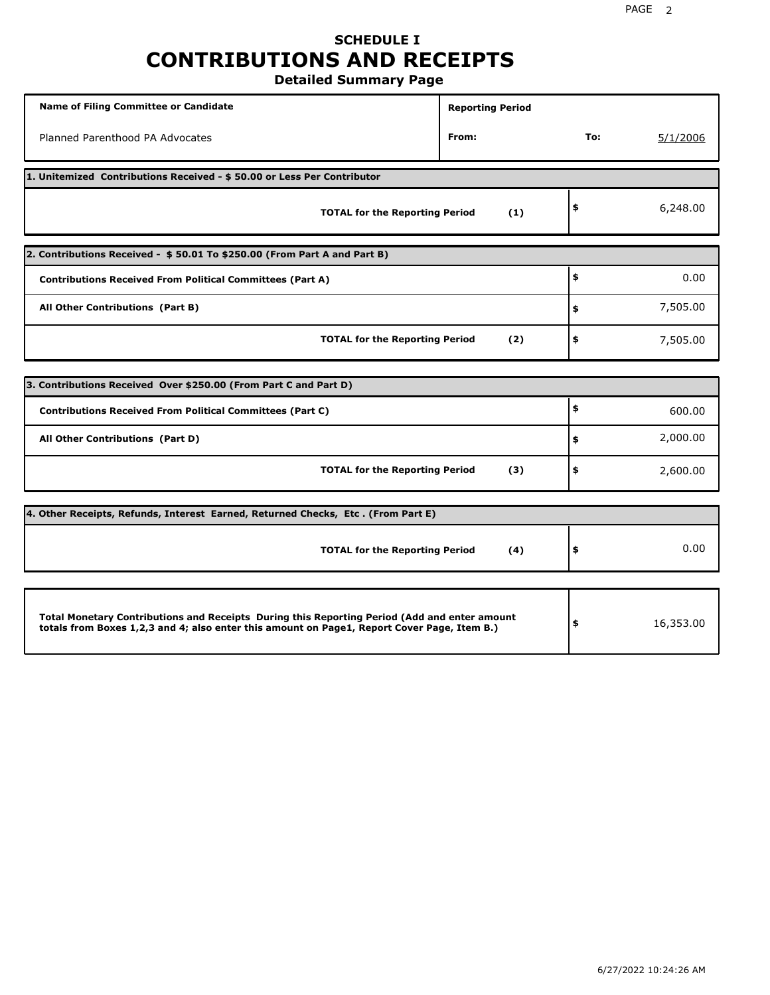# **SCHEDULE I CONTRIBUTIONS AND RECEIPTS**

**Detailed Summary Page**

| Name of Filing Committee or Candidate                                                                                                                                                       | <b>Reporting Period</b> |     |           |
|---------------------------------------------------------------------------------------------------------------------------------------------------------------------------------------------|-------------------------|-----|-----------|
| Planned Parenthood PA Advocates                                                                                                                                                             | From:                   | To: | 5/1/2006  |
| 1. Unitemized Contributions Received - \$50.00 or Less Per Contributor                                                                                                                      |                         |     |           |
| <b>TOTAL for the Reporting Period</b>                                                                                                                                                       | (1)                     | \$  | 6,248.00  |
| 2. Contributions Received - \$50.01 To \$250.00 (From Part A and Part B)                                                                                                                    |                         |     |           |
| <b>Contributions Received From Political Committees (Part A)</b>                                                                                                                            |                         | \$  | 0.00      |
| All Other Contributions (Part B)                                                                                                                                                            |                         | \$  | 7,505.00  |
| <b>TOTAL for the Reporting Period</b>                                                                                                                                                       | (2)                     | \$  | 7,505.00  |
|                                                                                                                                                                                             |                         |     |           |
| 3. Contributions Received Over \$250.00 (From Part C and Part D)                                                                                                                            |                         |     |           |
| <b>Contributions Received From Political Committees (Part C)</b>                                                                                                                            |                         | \$  | 600.00    |
| All Other Contributions (Part D)                                                                                                                                                            |                         | \$  | 2,000.00  |
| <b>TOTAL for the Reporting Period</b>                                                                                                                                                       | (3)                     | \$  | 2,600.00  |
| 4. Other Receipts, Refunds, Interest Earned, Returned Checks, Etc. (From Part E)                                                                                                            |                         |     |           |
| <b>TOTAL for the Reporting Period</b>                                                                                                                                                       | (4)                     | \$  | 0.00      |
|                                                                                                                                                                                             |                         |     |           |
| Total Monetary Contributions and Receipts During this Reporting Period (Add and enter amount<br>totals from Boxes 1,2,3 and 4; also enter this amount on Page1, Report Cover Page, Item B.) |                         | \$  | 16,353.00 |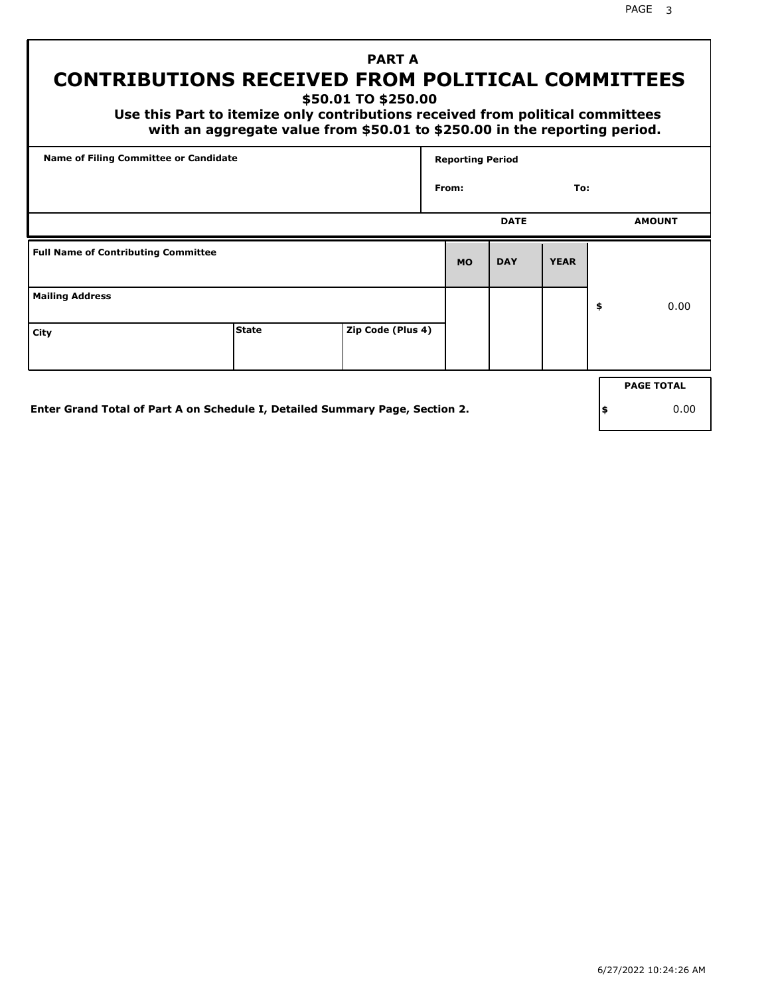PAGE 3

# **PART A CONTRIBUTIONS RECEIVED FROM POLITICAL COMMITTEES**

**\$50.01 TO \$250.00**

 **Use this Part to itemize only contributions received from political committees with an aggregate value from \$50.01 to \$250.00 in the reporting period.**

| Name of Filing Committee or Candidate      |                                                                              |                   | <b>Reporting Period</b> |             |             |     |                   |
|--------------------------------------------|------------------------------------------------------------------------------|-------------------|-------------------------|-------------|-------------|-----|-------------------|
|                                            |                                                                              |                   | From:                   |             | To:         |     |                   |
|                                            |                                                                              |                   |                         | <b>DATE</b> |             |     | <b>AMOUNT</b>     |
| <b>Full Name of Contributing Committee</b> |                                                                              |                   | <b>MO</b>               | <b>DAY</b>  | <b>YEAR</b> |     |                   |
| <b>Mailing Address</b>                     |                                                                              |                   |                         |             |             | \$  | 0.00              |
| City                                       | <b>State</b>                                                                 | Zip Code (Plus 4) |                         |             |             |     |                   |
|                                            |                                                                              |                   |                         |             |             |     | <b>PAGE TOTAL</b> |
|                                            |                                                                              |                   |                         |             |             |     |                   |
|                                            | Enter Grand Total of Part A on Schedule I, Detailed Summary Page, Section 2. |                   |                         |             |             | ∣\$ | 0.00              |

**Enter Grand Total of Part A on Schedule I, Detailed Summary Page, Section 2.**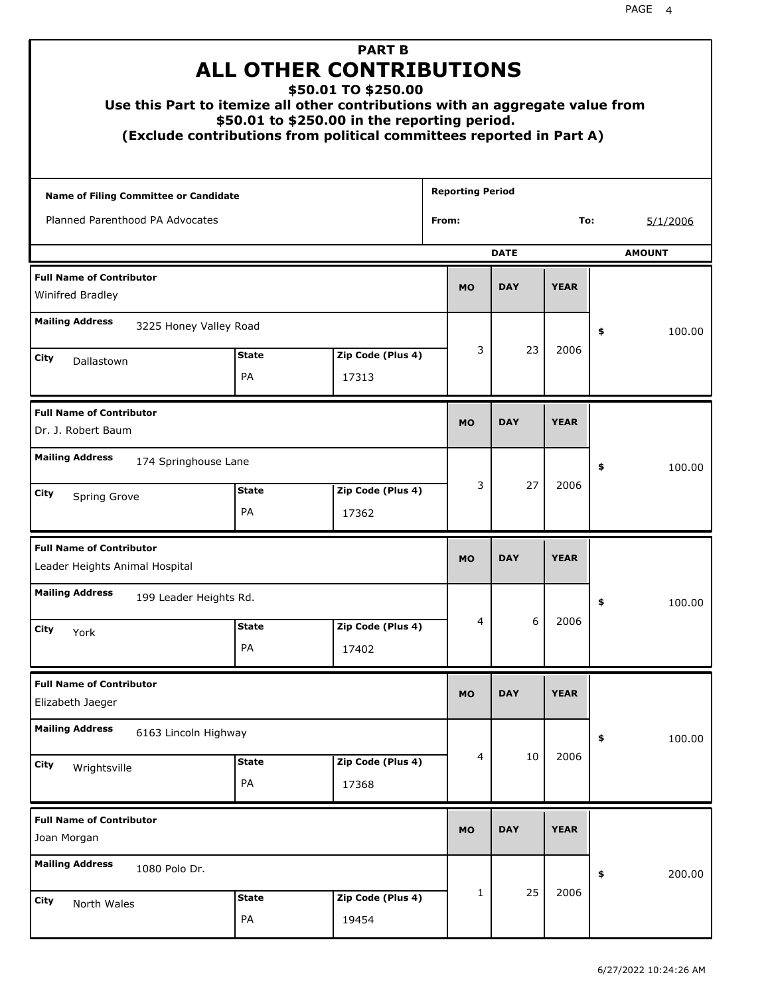| Use this Part to itemize all other contributions with an aggregate value from |                    | <b>PART B</b><br><b>ALL OTHER CONTRIBUTIONS</b><br>\$50.01 TO \$250.00<br>\$50.01 to \$250.00 in the reporting period.<br>(Exclude contributions from political committees reported in Part A) |                         |             |             |               |
|-------------------------------------------------------------------------------|--------------------|------------------------------------------------------------------------------------------------------------------------------------------------------------------------------------------------|-------------------------|-------------|-------------|---------------|
| Name of Filing Committee or Candidate                                         |                    |                                                                                                                                                                                                | <b>Reporting Period</b> |             |             |               |
| Planned Parenthood PA Advocates                                               |                    |                                                                                                                                                                                                | From:                   |             | To:         | 5/1/2006      |
|                                                                               |                    |                                                                                                                                                                                                |                         | <b>DATE</b> |             | <b>AMOUNT</b> |
| <b>Full Name of Contributor</b><br>Winifred Bradley                           |                    |                                                                                                                                                                                                | <b>MO</b>               | <b>DAY</b>  | <b>YEAR</b> |               |
| <b>Mailing Address</b><br>3225 Honey Valley Road                              |                    |                                                                                                                                                                                                |                         |             |             | \$<br>100.00  |
| City<br>Dallastown                                                            | <b>State</b><br>PA | Zip Code (Plus 4)<br>17313                                                                                                                                                                     | 3                       | 23          | 2006        |               |
| <b>Full Name of Contributor</b><br>Dr. J. Robert Baum                         |                    |                                                                                                                                                                                                | <b>MO</b>               | <b>DAY</b>  | <b>YEAR</b> |               |
| <b>Mailing Address</b><br>174 Springhouse Lane                                |                    |                                                                                                                                                                                                |                         |             |             | \$<br>100.00  |
| City<br>Spring Grove                                                          | <b>State</b><br>PA | Zip Code (Plus 4)<br>17362                                                                                                                                                                     | 3                       | 27          | 2006        |               |
| <b>Full Name of Contributor</b><br>Leader Heights Animal Hospital             |                    |                                                                                                                                                                                                | <b>MO</b>               | <b>DAY</b>  | <b>YEAR</b> |               |
| <b>Mailing Address</b><br>199 Leader Heights Rd.                              |                    |                                                                                                                                                                                                |                         |             |             | 100.00        |
| <b>City</b><br>York                                                           | <b>State</b><br>PA | Zip Code (Plus 4)<br>17402                                                                                                                                                                     | 4                       | 6           | 2006        |               |
| <b>Full Name of Contributor</b><br>Elizabeth Jaeger                           |                    |                                                                                                                                                                                                | <b>MO</b>               | <b>DAY</b>  | <b>YEAR</b> |               |
| <b>Mailing Address</b><br>6163 Lincoln Highway                                |                    |                                                                                                                                                                                                |                         |             |             | 100.00<br>\$  |
| City<br>Wrightsville                                                          | <b>State</b><br>PA | Zip Code (Plus 4)<br>17368                                                                                                                                                                     | 4                       | 10          | 2006        |               |
| <b>Full Name of Contributor</b><br>Joan Morgan                                |                    |                                                                                                                                                                                                | <b>MO</b>               | <b>DAY</b>  | <b>YEAR</b> |               |
| <b>Mailing Address</b><br>1080 Polo Dr.                                       |                    |                                                                                                                                                                                                |                         |             |             | \$<br>200.00  |
| City<br>North Wales                                                           | <b>State</b><br>PA | Zip Code (Plus 4)<br>19454                                                                                                                                                                     | 1                       | 25          | 2006        |               |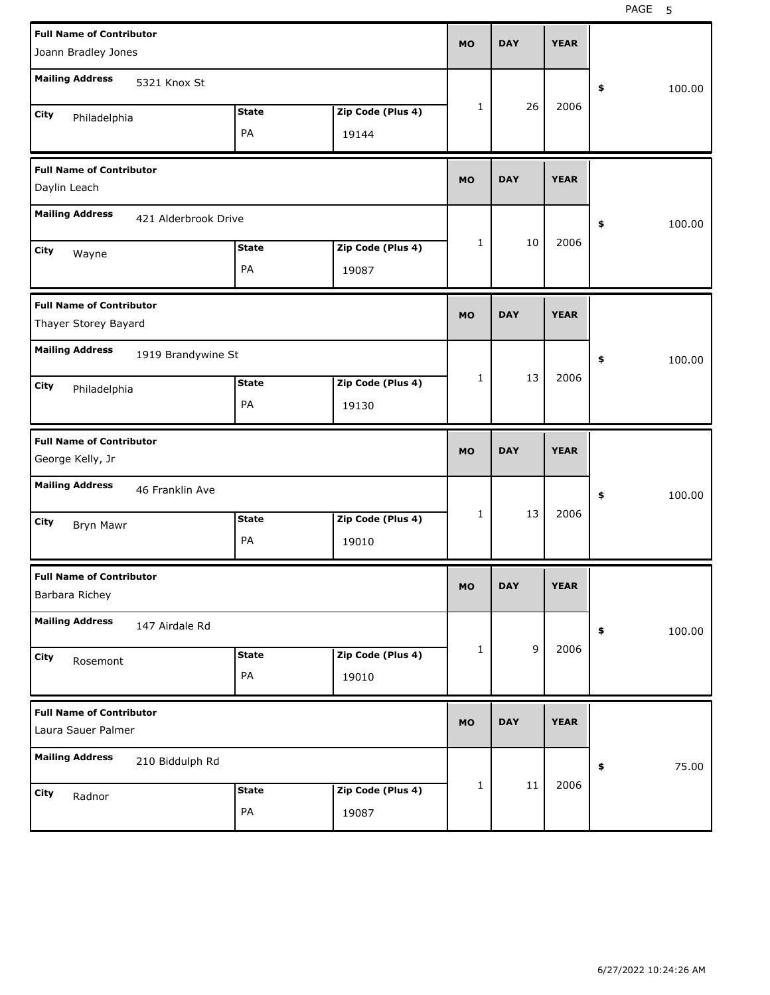| <b>Full Name of Contributor</b><br>Joann Bradley Jones  |                    |                            | <b>MO</b>    | <b>DAY</b> | <b>YEAR</b> |              |
|---------------------------------------------------------|--------------------|----------------------------|--------------|------------|-------------|--------------|
| <b>Mailing Address</b><br>5321 Knox St                  |                    |                            |              |            |             | \$<br>100.00 |
| City<br>Philadelphia                                    | <b>State</b><br>PA | Zip Code (Plus 4)<br>19144 | 1            | 26         | 2006        |              |
| <b>Full Name of Contributor</b><br>Daylin Leach         |                    |                            | <b>MO</b>    | <b>DAY</b> | <b>YEAR</b> |              |
| <b>Mailing Address</b><br>421 Alderbrook Drive          |                    |                            |              |            |             | 100.00<br>\$ |
| City<br>Wayne                                           | <b>State</b><br>PA | Zip Code (Plus 4)<br>19087 | 1            | 10         | 2006        |              |
| <b>Full Name of Contributor</b><br>Thayer Storey Bayard |                    |                            | <b>MO</b>    | <b>DAY</b> | <b>YEAR</b> |              |
| <b>Mailing Address</b><br>1919 Brandywine St            |                    |                            |              |            |             | \$<br>100.00 |
| City<br>Philadelphia                                    | <b>State</b><br>PA | Zip Code (Plus 4)<br>19130 | 1            | 13         | 2006        |              |
|                                                         |                    |                            |              |            |             |              |
| <b>Full Name of Contributor</b><br>George Kelly, Jr     |                    |                            | <b>MO</b>    | <b>DAY</b> | <b>YEAR</b> |              |
| <b>Mailing Address</b><br>46 Franklin Ave               |                    |                            |              |            |             | 100.00<br>\$ |
| City<br>Bryn Mawr                                       | <b>State</b><br>PA | Zip Code (Plus 4)<br>19010 | 1            | 13         | 2006        |              |
| <b>Full Name of Contributor</b><br>Barbara Richey       |                    |                            | МO           | <b>DAY</b> | <b>YEAR</b> |              |
| <b>Mailing Address</b><br>147 Airdale Rd                |                    |                            |              |            |             | 100.00<br>\$ |
| City<br>Rosemont                                        | <b>State</b><br>PA | Zip Code (Plus 4)<br>19010 | $\mathbf{1}$ | 9          | 2006        |              |
| <b>Full Name of Contributor</b><br>Laura Sauer Palmer   |                    |                            | <b>MO</b>    | <b>DAY</b> | <b>YEAR</b> |              |
| <b>Mailing Address</b><br>210 Biddulph Rd               |                    |                            |              | 11         | 2006        | 75.00<br>\$  |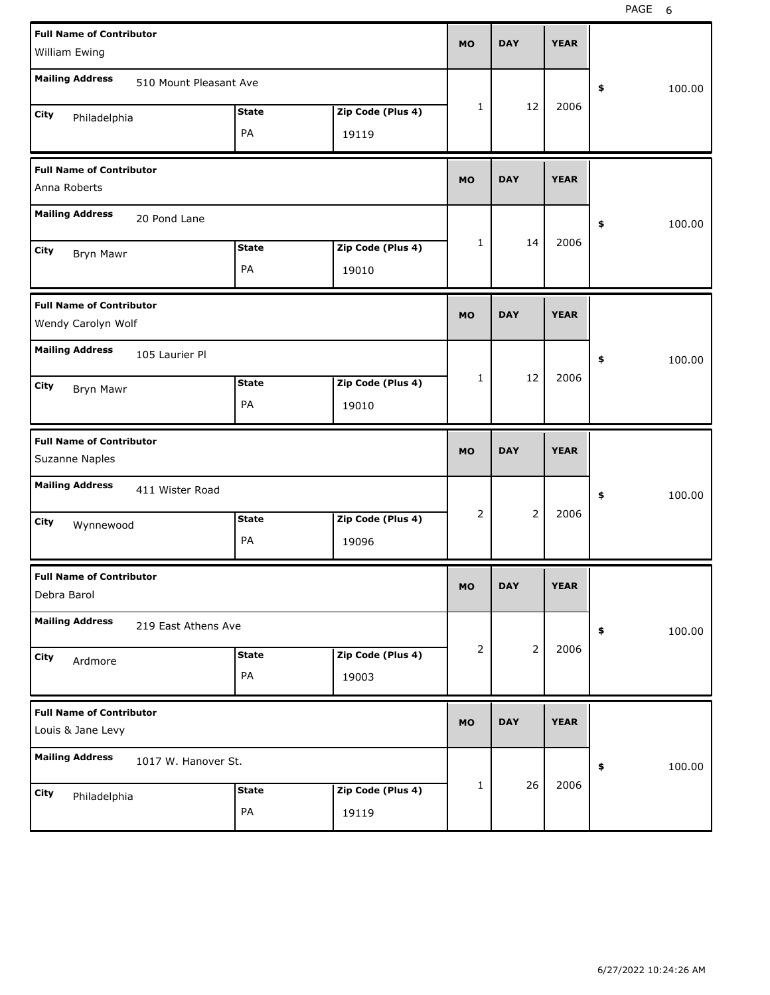| <b>Full Name of Contributor</b><br>William Ewing      |                    |                            | <b>MO</b> | <b>DAY</b>     | <b>YEAR</b> |              |
|-------------------------------------------------------|--------------------|----------------------------|-----------|----------------|-------------|--------------|
| <b>Mailing Address</b><br>510 Mount Pleasant Ave      |                    |                            |           |                |             | \$<br>100.00 |
| City<br>Philadelphia                                  | <b>State</b><br>PA | Zip Code (Plus 4)<br>19119 | 1         | 12             | 2006        |              |
| <b>Full Name of Contributor</b><br>Anna Roberts       |                    |                            | <b>MO</b> | <b>DAY</b>     | <b>YEAR</b> |              |
| <b>Mailing Address</b><br>20 Pond Lane                |                    |                            |           |                |             | \$<br>100.00 |
| City<br>Bryn Mawr                                     | <b>State</b><br>PA | Zip Code (Plus 4)<br>19010 | 1         | 14             | 2006        |              |
| <b>Full Name of Contributor</b><br>Wendy Carolyn Wolf |                    |                            | <b>MO</b> | <b>DAY</b>     | <b>YEAR</b> |              |
| <b>Mailing Address</b><br>105 Laurier Pl              |                    |                            |           |                |             | \$<br>100.00 |
| City<br>Bryn Mawr                                     | <b>State</b><br>PA | Zip Code (Plus 4)<br>19010 | 1         | 12             | 2006        |              |
|                                                       |                    |                            |           |                |             |              |
| <b>Full Name of Contributor</b><br>Suzanne Naples     |                    |                            | <b>MO</b> | <b>DAY</b>     | <b>YEAR</b> |              |
| <b>Mailing Address</b><br>411 Wister Road             |                    |                            |           |                |             | \$<br>100.00 |
| City<br>Wynnewood                                     | <b>State</b><br>PA | Zip Code (Plus 4)<br>19096 | 2         | 2              | 2006        |              |
| <b>Full Name of Contributor</b><br>Debra Barol        |                    |                            | мo        | <b>DAY</b>     | <b>YEAR</b> |              |
| <b>Mailing Address</b><br>219 East Athens Ave         |                    |                            |           |                |             | 100.00<br>\$ |
| City<br>Ardmore                                       | <b>State</b><br>PA | Zip Code (Plus 4)<br>19003 | 2         | $\overline{2}$ | 2006        |              |
| <b>Full Name of Contributor</b><br>Louis & Jane Levy  |                    |                            | <b>MO</b> | <b>DAY</b>     | <b>YEAR</b> |              |
| <b>Mailing Address</b><br>1017 W. Hanover St.         |                    |                            |           | 26             | 2006        | 100.00<br>\$ |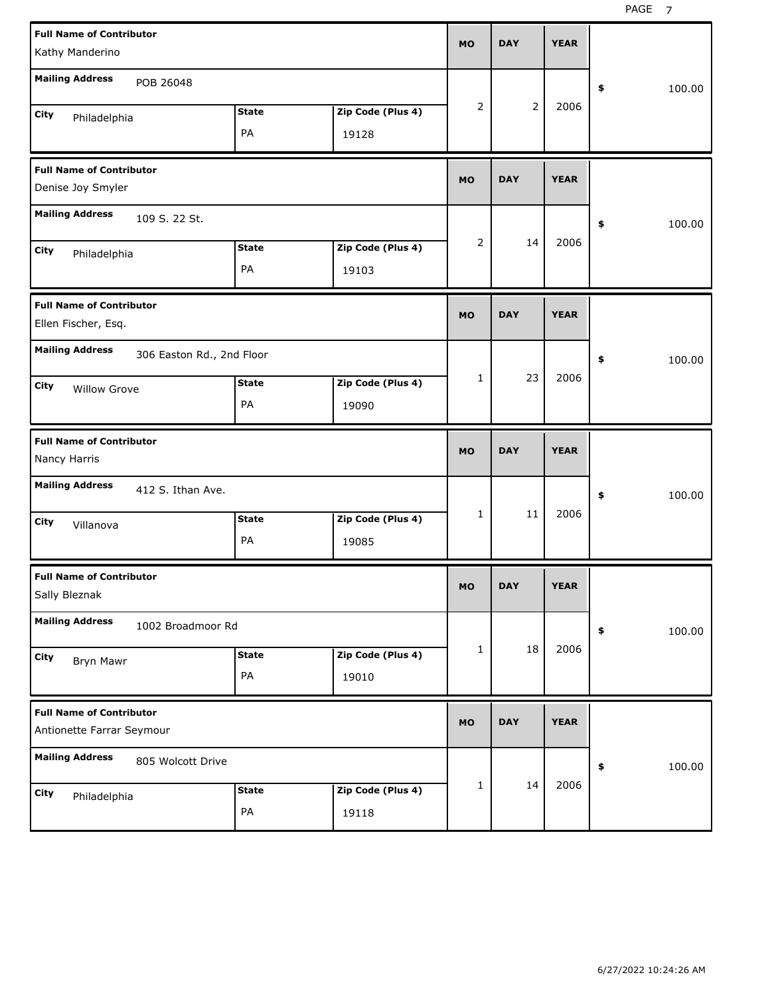| <b>Full Name of Contributor</b><br>Kathy Manderino           |                    |                            | <b>MO</b> | <b>DAY</b>     | <b>YEAR</b> |              |
|--------------------------------------------------------------|--------------------|----------------------------|-----------|----------------|-------------|--------------|
| <b>Mailing Address</b><br>POB 26048                          |                    |                            |           |                |             | \$<br>100.00 |
| <b>City</b><br>Philadelphia                                  | <b>State</b><br>PA | Zip Code (Plus 4)<br>19128 | 2         | $\overline{2}$ | 2006        |              |
| <b>Full Name of Contributor</b><br>Denise Joy Smyler         |                    |                            | <b>MO</b> | <b>DAY</b>     | <b>YEAR</b> |              |
| <b>Mailing Address</b><br>109 S. 22 St.                      |                    |                            |           |                |             | \$<br>100.00 |
| <b>City</b><br>Philadelphia                                  | <b>State</b><br>PA | Zip Code (Plus 4)<br>19103 | 2         | 14             | 2006        |              |
| <b>Full Name of Contributor</b><br>Ellen Fischer, Esq.       |                    |                            | <b>MO</b> | <b>DAY</b>     | <b>YEAR</b> |              |
| <b>Mailing Address</b><br>306 Easton Rd., 2nd Floor          | <b>State</b>       |                            | 1         | 23             | 2006        | 100.00<br>\$ |
| <b>City</b><br><b>Willow Grove</b>                           | PA                 | Zip Code (Plus 4)<br>19090 |           |                |             |              |
|                                                              |                    |                            |           |                |             |              |
| <b>Full Name of Contributor</b><br>Nancy Harris              |                    |                            | <b>MO</b> | <b>DAY</b>     | <b>YEAR</b> |              |
| <b>Mailing Address</b><br>412 S. Ithan Ave.                  |                    |                            |           |                |             | 100.00<br>\$ |
| <b>City</b><br>Villanova                                     | <b>State</b><br>PA | Zip Code (Plus 4)<br>19085 | 1         | 11             | 2006        |              |
| <b>Full Name of Contributor</b><br>Sally Bleznak             |                    |                            | <b>MO</b> | <b>DAY</b>     | <b>YEAR</b> |              |
| <b>Mailing Address</b><br>1002 Broadmoor Rd                  |                    |                            |           |                |             | 100.00<br>\$ |
| City<br><b>Bryn Mawr</b>                                     | <b>State</b><br>PA | Zip Code (Plus 4)<br>19010 | 1         | 18             | 2006        |              |
| <b>Full Name of Contributor</b><br>Antionette Farrar Seymour |                    |                            | <b>MO</b> | <b>DAY</b>     | <b>YEAR</b> |              |
| <b>Mailing Address</b><br>805 Wolcott Drive                  |                    |                            | 1         | 14             | 2006        | 100.00<br>\$ |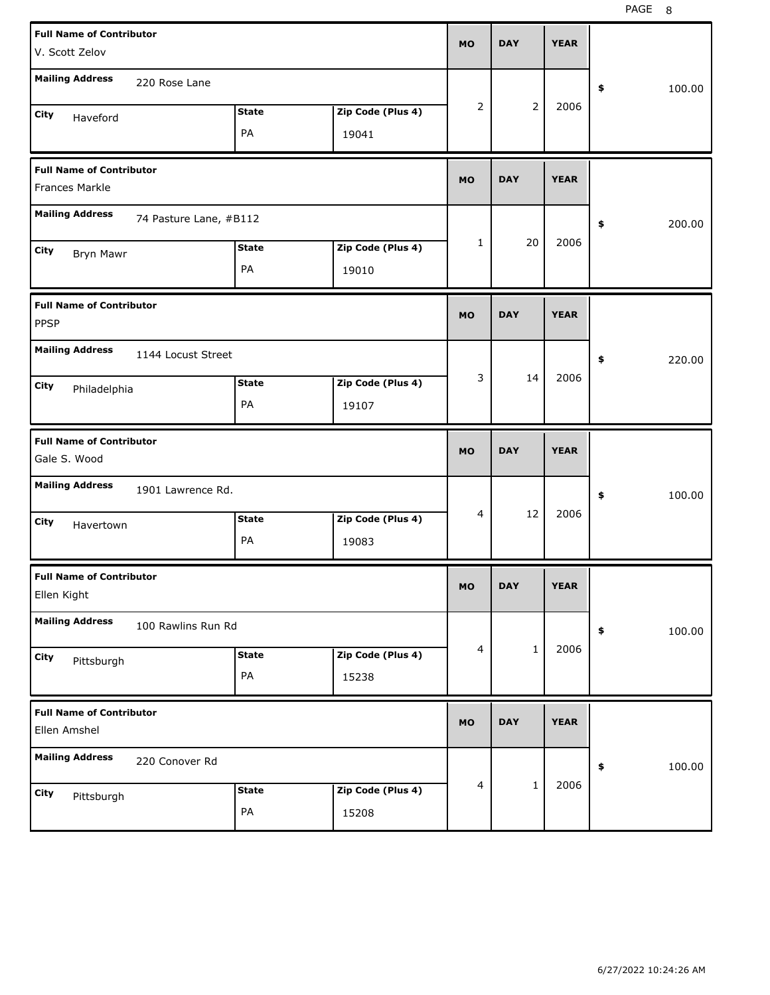| <b>Full Name of Contributor</b><br>V. Scott Zelov        |                   | MO             | <b>DAY</b>   | <b>YEAR</b> |              |
|----------------------------------------------------------|-------------------|----------------|--------------|-------------|--------------|
| <b>Mailing Address</b><br>220 Rose Lane                  |                   |                |              |             | \$<br>100.00 |
| <b>State</b><br>City<br>Haveford                         | Zip Code (Plus 4) | $\overline{2}$ | 2            | 2006        |              |
| PA                                                       | 19041             |                |              |             |              |
| <b>Full Name of Contributor</b><br><b>Frances Markle</b> |                   | MO             | <b>DAY</b>   | <b>YEAR</b> |              |
| <b>Mailing Address</b><br>74 Pasture Lane, #B112         |                   |                |              |             | \$<br>200.00 |
| <b>State</b><br>City<br>Bryn Mawr                        | Zip Code (Plus 4) | 1              | 20           | 2006        |              |
| PA                                                       | 19010             |                |              |             |              |
| <b>Full Name of Contributor</b><br><b>PPSP</b>           |                   | MO             | <b>DAY</b>   | <b>YEAR</b> |              |
| <b>Mailing Address</b><br>1144 Locust Street             |                   |                |              |             | \$<br>220.00 |
| <b>State</b><br>City<br>Philadelphia                     | Zip Code (Plus 4) | 3              | 14           | 2006        |              |
| PA                                                       | 19107             |                |              |             |              |
|                                                          |                   |                |              |             |              |
| <b>Full Name of Contributor</b><br>Gale S. Wood          |                   | MO             | <b>DAY</b>   | <b>YEAR</b> |              |
| <b>Mailing Address</b><br>1901 Lawrence Rd.              |                   |                |              |             | 100.00<br>\$ |
| <b>State</b><br>City<br>Havertown                        | Zip Code (Plus 4) | $\overline{4}$ | 12           | 2006        |              |
| PA                                                       | 19083             |                |              |             |              |
| <b>Full Name of Contributor</b><br>Ellen Kight           |                   | MU.            | DAY          | <b>YEAR</b> |              |
| <b>Mailing Address</b><br>100 Rawlins Run Rd             |                   |                |              |             | 100.00<br>\$ |
| <b>State</b><br>City                                     | Zip Code (Plus 4) | $\overline{4}$ | $\mathbf{1}$ | 2006        |              |
| Pittsburgh<br>PA                                         | 15238             |                |              |             |              |
| <b>Full Name of Contributor</b><br>Ellen Amshel          |                   | <b>MO</b>      | <b>DAY</b>   | <b>YEAR</b> |              |
| <b>Mailing Address</b><br>220 Conover Rd                 |                   |                |              |             | 100.00<br>\$ |
| <b>State</b><br>City<br>Pittsburgh                       | Zip Code (Plus 4) | $\overline{4}$ | $\mathbf{1}$ | 2006        |              |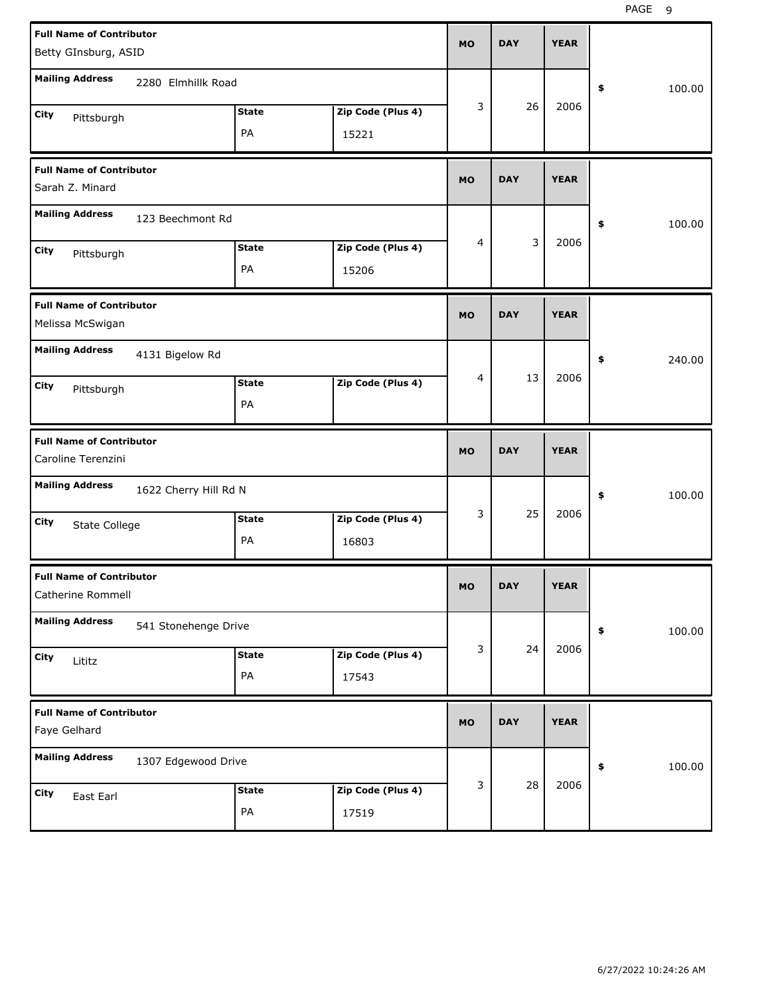| <b>Full Name of Contributor</b><br>Betty GInsburg, ASID |                       |                    |                   | <b>MO</b> | <b>DAY</b> | <b>YEAR</b> |              |
|---------------------------------------------------------|-----------------------|--------------------|-------------------|-----------|------------|-------------|--------------|
| <b>Mailing Address</b>                                  | 2280 Elmhillk Road    |                    |                   |           |            |             | \$<br>100.00 |
| City<br>Pittsburgh                                      |                       | <b>State</b>       | Zip Code (Plus 4) | 3         | 26         | 2006        |              |
|                                                         |                       | PA                 | 15221             |           |            |             |              |
| <b>Full Name of Contributor</b><br>Sarah Z. Minard      |                       |                    |                   | <b>MO</b> | <b>DAY</b> | <b>YEAR</b> |              |
| <b>Mailing Address</b>                                  | 123 Beechmont Rd      |                    |                   |           |            |             | \$<br>100.00 |
| City<br>Pittsburgh                                      |                       | <b>State</b>       | Zip Code (Plus 4) | 4         | 3          | 2006        |              |
|                                                         |                       | PA                 | 15206             |           |            |             |              |
| <b>Full Name of Contributor</b><br>Melissa McSwigan     |                       |                    |                   | <b>MO</b> | <b>DAY</b> | <b>YEAR</b> |              |
| <b>Mailing Address</b>                                  | 4131 Bigelow Rd       |                    |                   |           |            |             | \$<br>240.00 |
| City<br>Pittsburgh                                      |                       | <b>State</b><br>PA | Zip Code (Plus 4) | 4         | 13         | 2006        |              |
|                                                         |                       |                    |                   |           |            |             |              |
| <b>Full Name of Contributor</b><br>Caroline Terenzini   |                       |                    |                   | <b>MO</b> | <b>DAY</b> | <b>YEAR</b> |              |
| <b>Mailing Address</b>                                  | 1622 Cherry Hill Rd N |                    |                   |           |            |             | \$<br>100.00 |
| City                                                    |                       | <b>State</b>       | Zip Code (Plus 4) | 3         | 25         | 2006        |              |
| State College                                           |                       | PA                 | 16803             |           |            |             |              |
| <b>Full Name of Contributor</b><br>Catherine Rommell    |                       |                    |                   | МO        | DAY        | <b>YEAR</b> |              |
| <b>Mailing Address</b>                                  | 541 Stonehenge Drive  |                    |                   |           |            |             | 100.00<br>\$ |
| City<br>Lititz                                          |                       | <b>State</b>       | Zip Code (Plus 4) | 3         | 24         | 2006        |              |
|                                                         |                       | PA                 | 17543             |           |            |             |              |
| <b>Full Name of Contributor</b><br>Faye Gelhard         |                       |                    |                   | <b>MO</b> | <b>DAY</b> | <b>YEAR</b> |              |
| <b>Mailing Address</b>                                  | 1307 Edgewood Drive   |                    |                   |           |            |             | 100.00<br>\$ |
| City<br>East Earl                                       |                       | <b>State</b>       | Zip Code (Plus 4) | 3         | 28         | 2006        |              |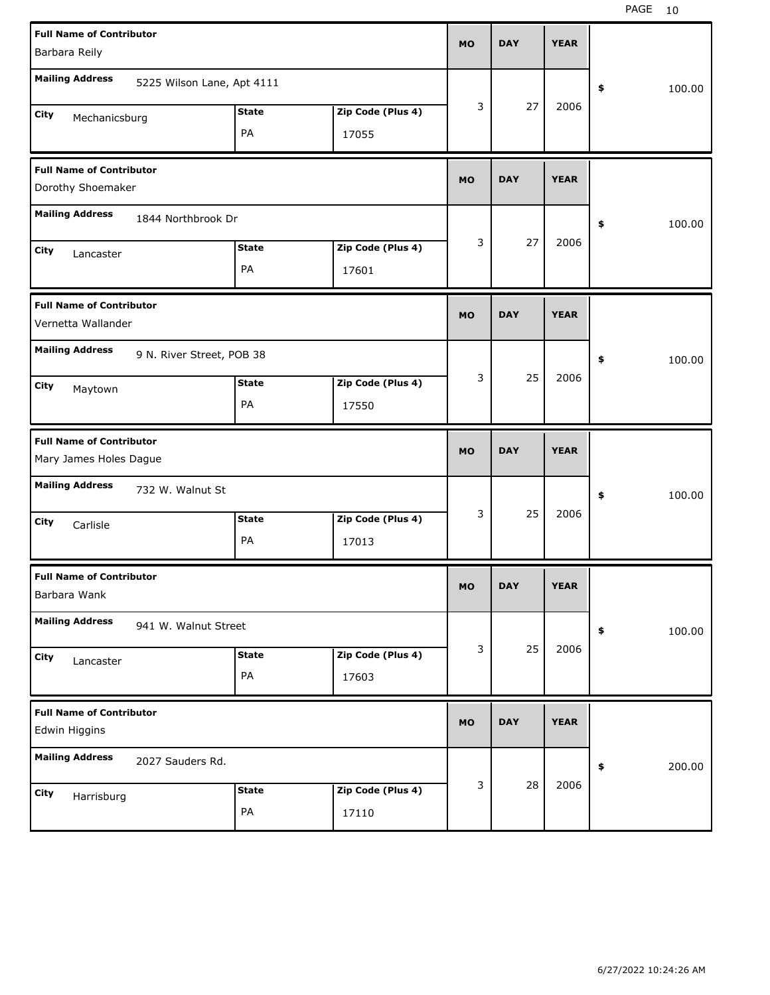| <b>Full Name of Contributor</b>                           |              |                   | <b>MO</b> | <b>DAY</b> | <b>YEAR</b> |              |
|-----------------------------------------------------------|--------------|-------------------|-----------|------------|-------------|--------------|
| Barbara Reily                                             |              |                   |           |            |             |              |
| <b>Mailing Address</b><br>5225 Wilson Lane, Apt 4111      |              |                   |           |            |             | \$<br>100.00 |
| City<br>Mechanicsburg                                     | <b>State</b> | Zip Code (Plus 4) | 3         | 27         | 2006        |              |
|                                                           | PA           | 17055             |           |            |             |              |
| <b>Full Name of Contributor</b>                           |              |                   | <b>MO</b> | <b>DAY</b> | <b>YEAR</b> |              |
| Dorothy Shoemaker                                         |              |                   |           |            |             |              |
| <b>Mailing Address</b><br>1844 Northbrook Dr              |              |                   |           |            |             | 100.00<br>\$ |
| City<br>Lancaster                                         | <b>State</b> | Zip Code (Plus 4) | 3         | 27         | 2006        |              |
|                                                           | PA           | 17601             |           |            |             |              |
| <b>Full Name of Contributor</b><br>Vernetta Wallander     |              |                   | <b>MO</b> | <b>DAY</b> | <b>YEAR</b> |              |
| <b>Mailing Address</b><br>9 N. River Street, POB 38       |              |                   |           |            |             | \$<br>100.00 |
| City<br>Maytown                                           | <b>State</b> | Zip Code (Plus 4) | 3         | 25         | 2006        |              |
|                                                           | PA           | 17550             |           |            |             |              |
|                                                           |              |                   |           |            |             |              |
| <b>Full Name of Contributor</b><br>Mary James Holes Dague |              |                   | <b>MO</b> | <b>DAY</b> | <b>YEAR</b> |              |
| <b>Mailing Address</b><br>732 W. Walnut St                |              |                   |           |            |             | \$<br>100.00 |
| City<br>Carlisle                                          | <b>State</b> | Zip Code (Plus 4) | 3         | 25         | 2006        |              |
|                                                           | PA           | 17013             |           |            |             |              |
| <b>Full Name of Contributor</b><br>Barbara Wank           |              |                   | МO        | <b>DAY</b> | <b>YEAR</b> |              |
| <b>Mailing Address</b><br>941 W. Walnut Street            |              |                   |           |            |             | \$<br>100.00 |
| City                                                      | <b>State</b> | Zip Code (Plus 4) | 3         | 25         | 2006        |              |
| Lancaster                                                 | PA           | 17603             |           |            |             |              |
| <b>Full Name of Contributor</b><br>Edwin Higgins          |              |                   | <b>MO</b> | <b>DAY</b> | <b>YEAR</b> |              |
| <b>Mailing Address</b><br>2027 Sauders Rd.                |              |                   |           |            |             | \$<br>200.00 |
| City<br>Harrisburg                                        | <b>State</b> | Zip Code (Plus 4) | 3         | 28         | 2006        |              |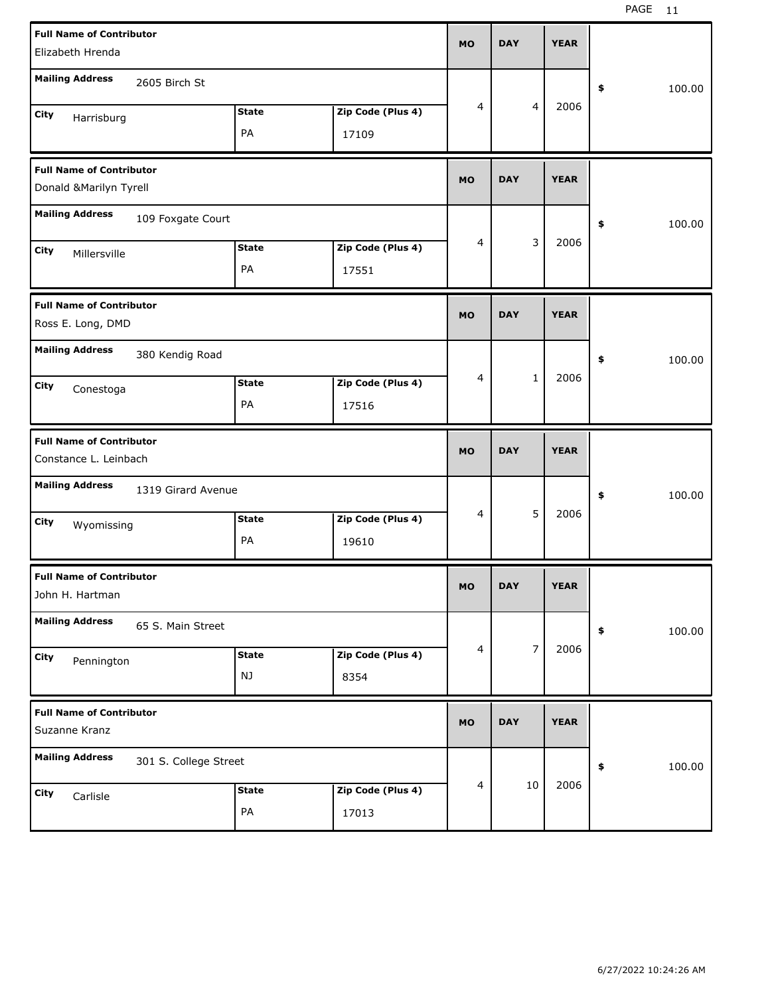| <b>Full Name of Contributor</b><br>Elizabeth Hrenda |                       |              |                   | <b>MO</b> | <b>DAY</b> |                | <b>YEAR</b> |              |
|-----------------------------------------------------|-----------------------|--------------|-------------------|-----------|------------|----------------|-------------|--------------|
|                                                     |                       |              |                   |           |            |                |             |              |
| <b>Mailing Address</b>                              | 2605 Birch St         |              |                   |           |            |                |             | \$<br>100.00 |
| City<br>Harrisburg                                  |                       | <b>State</b> | Zip Code (Plus 4) | 4         |            | $\overline{4}$ | 2006        |              |
|                                                     |                       | PA           | 17109             |           |            |                |             |              |
| <b>Full Name of Contributor</b>                     |                       |              |                   | <b>MO</b> | <b>DAY</b> |                | <b>YEAR</b> |              |
| Donald & Marilyn Tyrell                             |                       |              |                   |           |            |                |             |              |
| <b>Mailing Address</b>                              | 109 Foxgate Court     |              |                   |           |            |                |             | \$<br>100.00 |
| City<br>Millersville                                |                       | <b>State</b> | Zip Code (Plus 4) | 4         |            | 3              | 2006        |              |
|                                                     |                       | PA           | 17551             |           |            |                |             |              |
| <b>Full Name of Contributor</b>                     |                       |              |                   |           | <b>DAY</b> |                | <b>YEAR</b> |              |
| Ross E. Long, DMD                                   |                       |              |                   | <b>MO</b> |            |                |             |              |
| <b>Mailing Address</b>                              | 380 Kendig Road       |              |                   |           |            |                |             | \$<br>100.00 |
| City<br>Conestoga                                   |                       | <b>State</b> | Zip Code (Plus 4) | 4         |            | $\mathbf{1}$   | 2006        |              |
|                                                     |                       | PA           | 17516             |           |            |                |             |              |
|                                                     |                       |              |                   |           |            |                |             |              |
| <b>Full Name of Contributor</b>                     |                       |              |                   |           |            |                |             |              |
| Constance L. Leinbach                               |                       |              |                   | <b>MO</b> | <b>DAY</b> |                | <b>YEAR</b> |              |
| <b>Mailing Address</b>                              | 1319 Girard Avenue    |              |                   |           |            |                |             | \$<br>100.00 |
| City<br>Wyomissing                                  |                       | <b>State</b> | Zip Code (Plus 4) | 4         |            | 5              | 2006        |              |
|                                                     |                       | PA           | 19610             |           |            |                |             |              |
| <b>Full Name of Contributor</b>                     |                       |              |                   |           |            |                |             |              |
| John H. Hartman                                     |                       |              |                   | MO        | <b>DAY</b> |                | <b>YEAR</b> |              |
| <b>Mailing Address</b>                              | 65 S. Main Street     |              |                   |           |            |                |             | \$<br>100.00 |
| City<br>Pennington                                  |                       | <b>State</b> | Zip Code (Plus 4) | 4         |            | $\overline{7}$ | 2006        |              |
|                                                     |                       | NJ           | 8354              |           |            |                |             |              |
| <b>Full Name of Contributor</b>                     |                       |              |                   | <b>MO</b> | <b>DAY</b> |                | <b>YEAR</b> |              |
| Suzanne Kranz                                       |                       |              |                   |           |            |                |             |              |
| <b>Mailing Address</b>                              | 301 S. College Street |              |                   |           |            |                |             | \$<br>100.00 |
| City<br>Carlisle                                    |                       | <b>State</b> | Zip Code (Plus 4) | 4         |            | 10             | 2006        |              |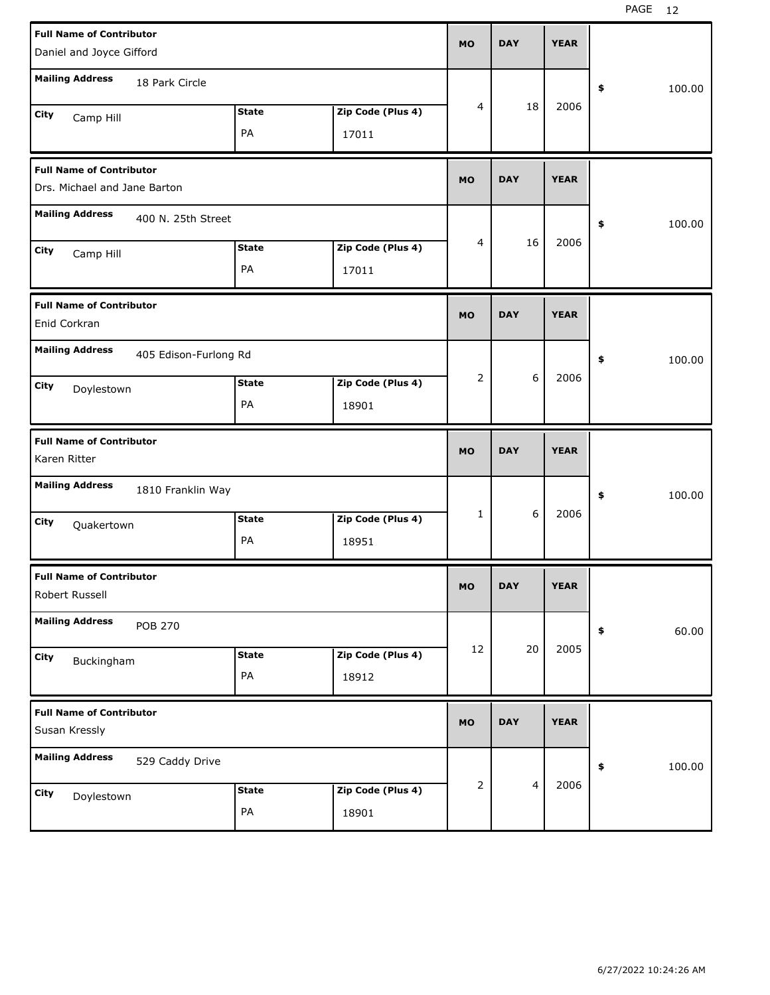| <b>Full Name of Contributor</b>                                        | <b>MO</b> | <b>DAY</b> | <b>YEAR</b> |              |
|------------------------------------------------------------------------|-----------|------------|-------------|--------------|
| Daniel and Joyce Gifford                                               |           |            |             |              |
| <b>Mailing Address</b><br>18 Park Circle                               |           |            |             |              |
|                                                                        |           |            |             | \$<br>100.00 |
| <b>State</b><br>Zip Code (Plus 4)<br>City<br>Camp Hill                 | 4         | 18         | 2006        |              |
| PA<br>17011                                                            |           |            |             |              |
|                                                                        |           |            |             |              |
| <b>Full Name of Contributor</b>                                        |           |            |             |              |
| Drs. Michael and Jane Barton                                           | <b>MO</b> | <b>DAY</b> | <b>YEAR</b> |              |
| <b>Mailing Address</b>                                                 |           |            |             |              |
| 400 N. 25th Street                                                     |           |            |             | \$<br>100.00 |
| <b>State</b><br>Zip Code (Plus 4)<br>City<br>Camp Hill                 | 4         | 16         | 2006        |              |
| PA<br>17011                                                            |           |            |             |              |
|                                                                        |           |            |             |              |
| <b>Full Name of Contributor</b>                                        |           |            |             |              |
| Enid Corkran                                                           | <b>MO</b> | <b>DAY</b> | <b>YEAR</b> |              |
| <b>Mailing Address</b>                                                 |           |            |             |              |
| 405 Edison-Furlong Rd                                                  |           |            |             | \$<br>100.00 |
| <b>State</b><br>Zip Code (Plus 4)<br>City<br>Doylestown                | 2         | 6          | 2006        |              |
| PA<br>18901                                                            |           |            |             |              |
|                                                                        |           |            |             |              |
|                                                                        |           |            |             |              |
| <b>Full Name of Contributor</b>                                        |           |            |             |              |
| Karen Ritter                                                           | <b>MO</b> | <b>DAY</b> | <b>YEAR</b> |              |
|                                                                        |           |            |             |              |
| <b>Mailing Address</b><br>1810 Franklin Way                            |           |            |             | \$<br>100.00 |
| <b>State</b>                                                           | 1         | 6          | 2006        |              |
| Zip Code (Plus 4)<br>City<br>Quakertown                                |           |            |             |              |
| PA<br>18951                                                            |           |            |             |              |
| <b>Full Name of Contributor</b>                                        |           |            |             |              |
| Robert Russell                                                         | MO        | <b>DAY</b> | <b>YEAR</b> |              |
|                                                                        |           |            |             |              |
| <b>Mailing Address</b><br><b>POB 270</b>                               |           |            |             | 60.00<br>\$  |
| Zip Code (Plus 4)<br><b>State</b>                                      | 12        | 20         | 2005        |              |
| City<br>Buckingham                                                     |           |            |             |              |
| PA<br>18912                                                            |           |            |             |              |
| <b>Full Name of Contributor</b>                                        |           |            |             |              |
| Susan Kressly                                                          | MO        | <b>DAY</b> | <b>YEAR</b> |              |
|                                                                        |           |            |             |              |
| <b>Mailing Address</b><br>529 Caddy Drive                              |           |            |             | \$<br>100.00 |
|                                                                        | 2         | 4          | 2006        |              |
| Zip Code (Plus 4)<br><b>State</b><br>City<br>Doylestown<br>PA<br>18901 |           |            |             |              |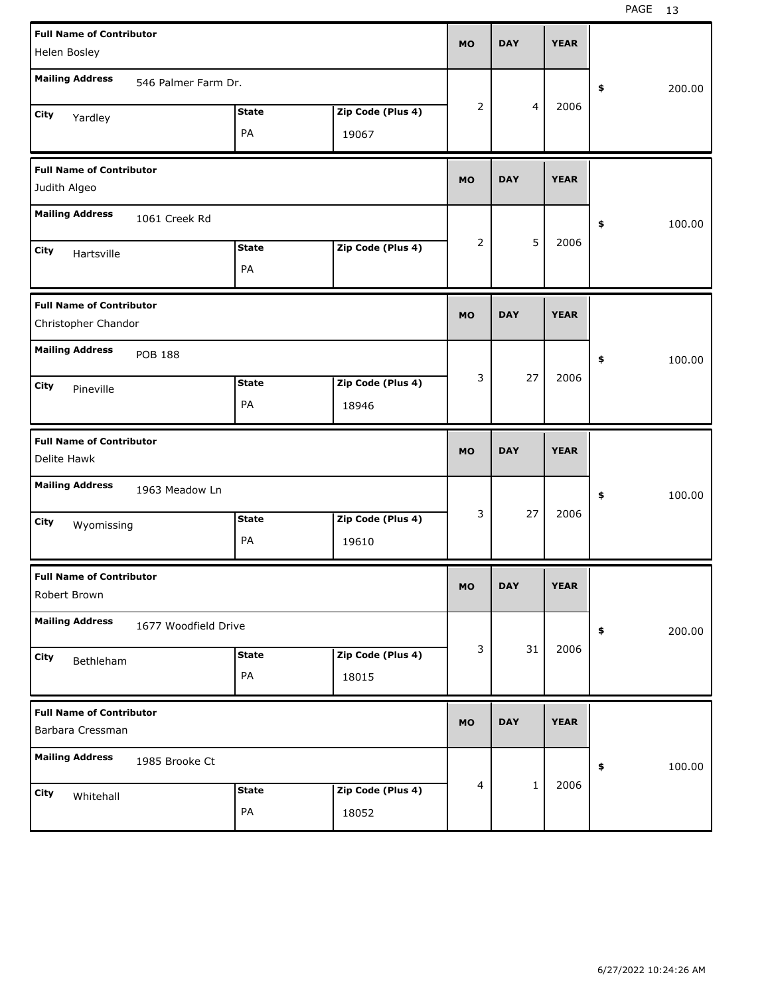| <b>Full Name of Contributor</b>                        |                      |              |                   | <b>MO</b>      | <b>DAY</b>     | <b>YEAR</b> |              |
|--------------------------------------------------------|----------------------|--------------|-------------------|----------------|----------------|-------------|--------------|
| Helen Bosley                                           |                      |              |                   |                |                |             |              |
| <b>Mailing Address</b>                                 | 546 Palmer Farm Dr.  |              |                   |                |                |             | \$<br>200.00 |
| City<br>Yardley                                        |                      | <b>State</b> | Zip Code (Plus 4) | $\overline{2}$ | $\overline{4}$ | 2006        |              |
|                                                        |                      | PA           | 19067             |                |                |             |              |
| <b>Full Name of Contributor</b>                        |                      |              |                   | <b>MO</b>      | <b>DAY</b>     | <b>YEAR</b> |              |
| Judith Algeo                                           |                      |              |                   |                |                |             |              |
| <b>Mailing Address</b>                                 | 1061 Creek Rd        |              |                   |                |                |             | \$<br>100.00 |
| City<br>Hartsville                                     |                      | <b>State</b> | Zip Code (Plus 4) | 2              | 5              | 2006        |              |
|                                                        |                      | PA           |                   |                |                |             |              |
| <b>Full Name of Contributor</b><br>Christopher Chandor |                      |              |                   | <b>MO</b>      | <b>DAY</b>     | <b>YEAR</b> |              |
| <b>Mailing Address</b>                                 | <b>POB 188</b>       |              |                   |                |                |             | \$<br>100.00 |
| City<br>Pineville                                      |                      | <b>State</b> | Zip Code (Plus 4) | 3              | 27             | 2006        |              |
|                                                        |                      | PA           | 18946             |                |                |             |              |
|                                                        |                      |              |                   |                |                |             |              |
| <b>Full Name of Contributor</b><br>Delite Hawk         |                      |              |                   | <b>MO</b>      | <b>DAY</b>     | <b>YEAR</b> |              |
| <b>Mailing Address</b>                                 | 1963 Meadow Ln       |              |                   |                |                |             | \$<br>100.00 |
| City                                                   |                      | <b>State</b> | Zip Code (Plus 4) | 3              | 27             | 2006        |              |
| Wyomissing                                             |                      | PA           | 19610             |                |                |             |              |
| <b>Full Name of Contributor</b><br>Robert Brown        |                      |              |                   | <b>MO</b>      | <b>DAY</b>     | <b>YEAR</b> |              |
| <b>Mailing Address</b>                                 | 1677 Woodfield Drive |              |                   |                |                |             | \$<br>200.00 |
| City                                                   |                      | State        | Zip Code (Plus 4) | 3              | 31             | 2006        |              |
| Bethleham                                              |                      | PA           | 18015             |                |                |             |              |
| <b>Full Name of Contributor</b><br>Barbara Cressman    |                      |              |                   | <b>MO</b>      | <b>DAY</b>     | <b>YEAR</b> |              |
| <b>Mailing Address</b>                                 | 1985 Brooke Ct       |              |                   |                |                |             | \$<br>100.00 |
| City<br>Whitehall                                      |                      | <b>State</b> | Zip Code (Plus 4) | 4              | $\mathbf 1$    | 2006        |              |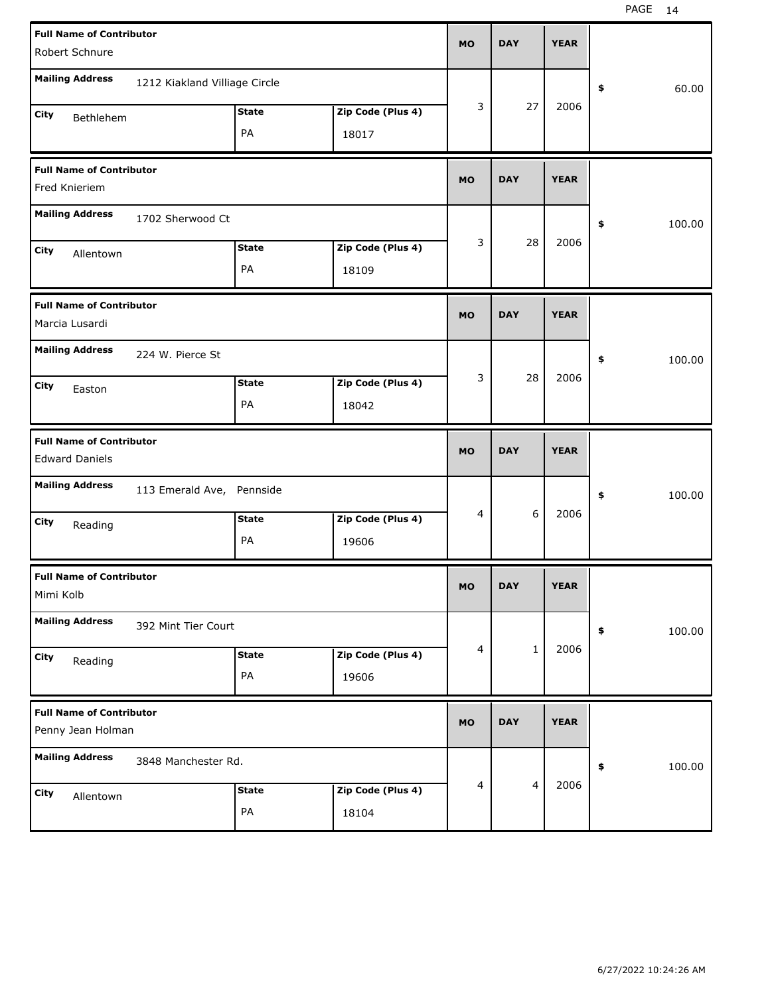|                                                          | <b>Full Name of Contributor</b><br>Robert Schnure |              |                   |           |                | <b>YEAR</b> |            |        |
|----------------------------------------------------------|---------------------------------------------------|--------------|-------------------|-----------|----------------|-------------|------------|--------|
|                                                          |                                                   |              |                   |           |                |             |            |        |
| <b>Mailing Address</b>                                   | 1212 Kiakland Villiage Circle                     |              |                   |           |                |             | \$         | 60.00  |
| City<br>Bethlehem                                        |                                                   | <b>State</b> | Zip Code (Plus 4) | 3         | 27             | 2006        |            |        |
|                                                          |                                                   | PA           | 18017             |           |                |             |            |        |
| <b>Full Name of Contributor</b><br>Fred Knieriem         |                                                   |              |                   | <b>MO</b> | <b>DAY</b>     | <b>YEAR</b> |            |        |
| <b>Mailing Address</b>                                   | 1702 Sherwood Ct                                  |              |                   |           |                |             | \$         | 100.00 |
| City<br>Allentown                                        |                                                   | <b>State</b> | Zip Code (Plus 4) | 3         | 28             | 2006        |            |        |
|                                                          |                                                   | PA           | 18109             |           |                |             |            |        |
| <b>Full Name of Contributor</b><br>Marcia Lusardi        |                                                   |              |                   | <b>MO</b> | <b>DAY</b>     | <b>YEAR</b> |            |        |
| <b>Mailing Address</b>                                   | 224 W. Pierce St                                  |              |                   |           |                |             | \$         | 100.00 |
| City<br>Easton                                           |                                                   | <b>State</b> | Zip Code (Plus 4) | 3         | 28             | 2006        |            |        |
|                                                          |                                                   | PA           | 18042             |           |                |             |            |        |
|                                                          |                                                   |              |                   |           |                |             |            |        |
| <b>Full Name of Contributor</b><br><b>Edward Daniels</b> |                                                   |              |                   | <b>MO</b> | <b>DAY</b>     | <b>YEAR</b> |            |        |
| <b>Mailing Address</b>                                   | 113 Emerald Ave, Pennside                         |              |                   |           |                |             | \$         | 100.00 |
| City                                                     |                                                   | <b>State</b> | Zip Code (Plus 4) | 4         | 6              | 2006        |            |        |
| Reading                                                  |                                                   | PA           | 19606             |           |                |             |            |        |
| <b>Full Name of Contributor</b><br>Mimi Kolb             |                                                   |              |                   | <b>MO</b> | <b>DAY</b>     | <b>YEAR</b> |            |        |
| <b>Mailing Address</b>                                   | 392 Mint Tier Court                               |              |                   |           |                |             | $\pmb{\$}$ | 100.00 |
| City                                                     |                                                   | <b>State</b> | Zip Code (Plus 4) | 4         | $\mathbf{1}$   | 2006        |            |        |
| Reading                                                  |                                                   | PA           | 19606             |           |                |             |            |        |
| <b>Full Name of Contributor</b><br>Penny Jean Holman     |                                                   |              |                   | <b>MO</b> | <b>DAY</b>     | <b>YEAR</b> |            |        |
| <b>Mailing Address</b>                                   | 3848 Manchester Rd.                               |              |                   |           |                |             | \$         | 100.00 |
| City<br>Allentown                                        |                                                   | <b>State</b> | Zip Code (Plus 4) | 4         | $\overline{4}$ | 2006        |            |        |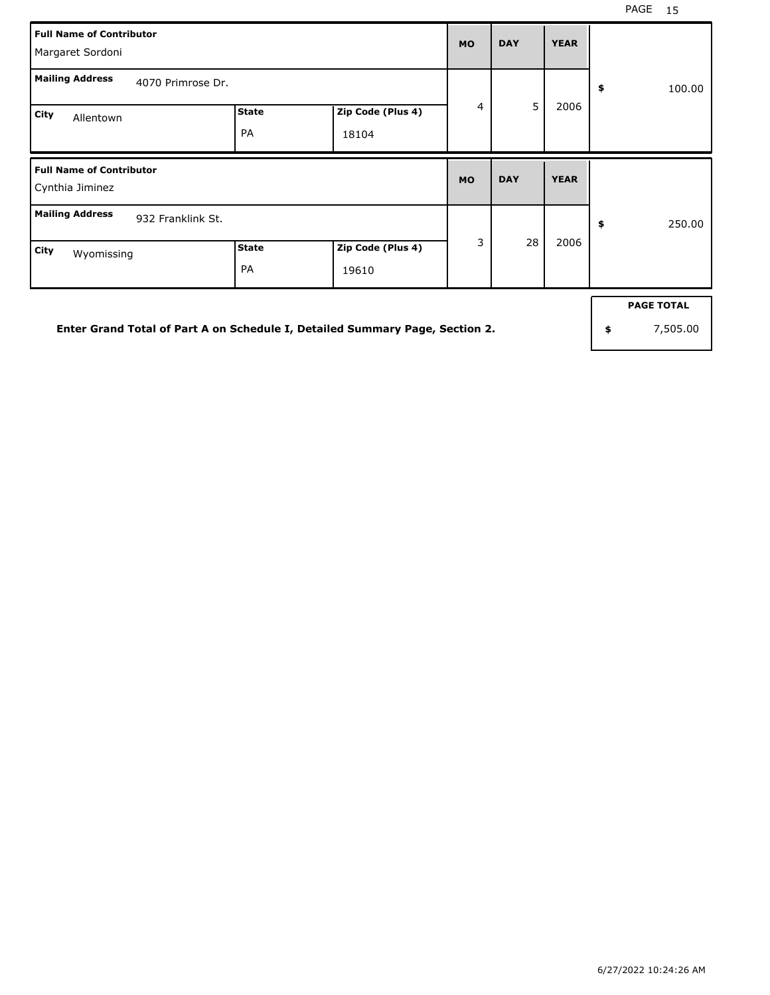| <b>Full Name of Contributor</b><br>Margaret Sordoni | <b>MO</b>                 | <b>DAY</b>                 | <b>YEAR</b> |            |             |              |
|-----------------------------------------------------|---------------------------|----------------------------|-------------|------------|-------------|--------------|
| <b>Mailing Address</b><br>4070 Primrose Dr.         |                           |                            |             |            |             | 100.00<br>\$ |
| City<br>Allentown                                   | <b>State</b><br><b>PA</b> | Zip Code (Plus 4)<br>18104 | 4           | 5          | 2006        |              |
| <b>Full Name of Contributor</b><br>Cynthia Jiminez  |                           |                            |             |            |             |              |
|                                                     |                           |                            | <b>MO</b>   | <b>DAY</b> | <b>YEAR</b> |              |
| <b>Mailing Address</b><br>932 Franklink St.         |                           |                            | 3           | 28         | 2006        | \$<br>250.00 |

**Enter Grand Total of Part A on Schedule I, Detailed Summary Page, Section 2.**

**PAGE TOTAL**

**\$** 7,505.00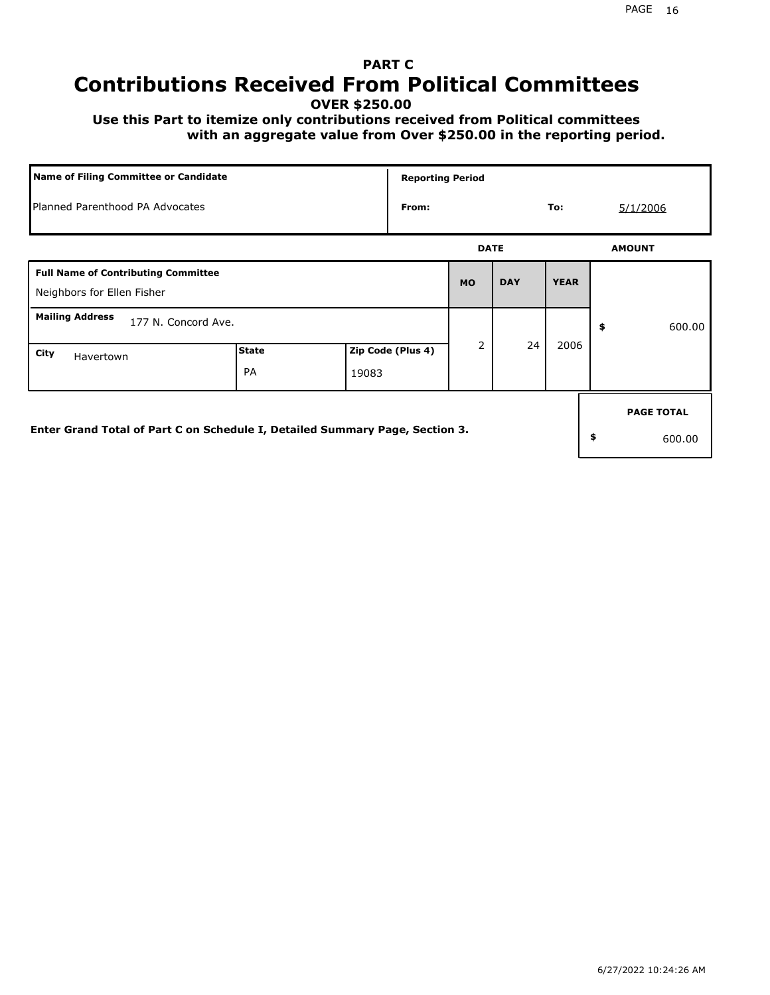## **PART C Contributions Received From Political Committees**

**OVER \$250.00**

 **Use this Part to itemize only contributions received from Political committees with an aggregate value from Over \$250.00 in the reporting period.**

| Name of Filing Committee or Candidate                                        |                    |       |                   | <b>Reporting Period</b> |            |             |          |                   |
|------------------------------------------------------------------------------|--------------------|-------|-------------------|-------------------------|------------|-------------|----------|-------------------|
| Planned Parenthood PA Advocates<br>From:                                     |                    |       |                   |                         |            | To:         | 5/1/2006 |                   |
|                                                                              |                    |       |                   | <b>DATE</b>             |            |             |          | <b>AMOUNT</b>     |
| <b>Full Name of Contributing Committee</b><br>Neighbors for Ellen Fisher     |                    |       |                   | <b>MO</b>               | <b>DAY</b> | <b>YEAR</b> |          |                   |
| <b>Mailing Address</b><br>177 N. Concord Ave.                                |                    |       |                   |                         |            |             | \$       | 600.00            |
| City<br>Havertown                                                            | <b>State</b><br>PA | 19083 | Zip Code (Plus 4) | $\overline{2}$          | 24         | 2006        |          |                   |
|                                                                              |                    |       |                   |                         |            |             |          | <b>PAGE TOTAL</b> |
| Enter Grand Total of Part C on Schedule I, Detailed Summary Page, Section 3. |                    |       |                   |                         |            |             | \$       | 600.00            |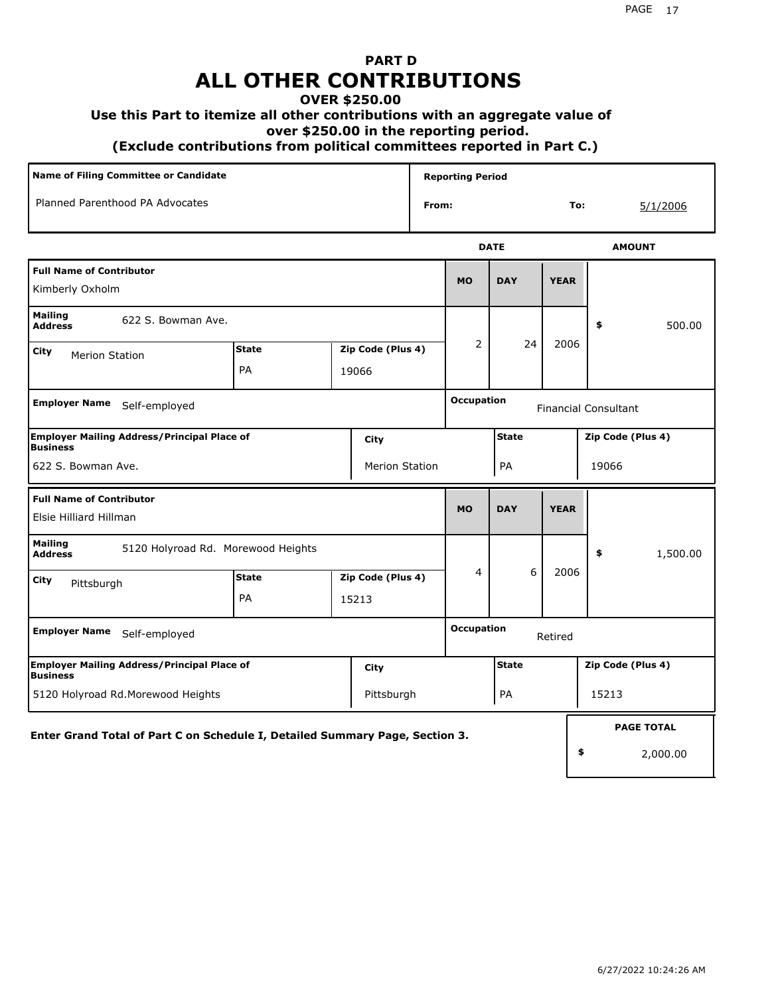# **PART D ALL OTHER CONTRIBUTIONS**

#### **OVER \$250.00**

#### **Use this Part to itemize all other contributions with an aggregate value of**

 **over \$250.00 in the reporting period.**

 **(Exclude contributions from political committees reported in Part C.)** 

|                                                                              | <b>Name of Filing Committee or Candidate</b> |                                    |  |                            |       | <b>Reporting Period</b> |              |             |                             |                   |
|------------------------------------------------------------------------------|----------------------------------------------|------------------------------------|--|----------------------------|-------|-------------------------|--------------|-------------|-----------------------------|-------------------|
| Planned Parenthood PA Advocates                                              |                                              |                                    |  |                            | From: |                         |              |             | To:<br>5/1/2006             |                   |
|                                                                              |                                              |                                    |  |                            |       |                         | <b>DATE</b>  |             |                             | <b>AMOUNT</b>     |
| <b>Full Name of Contributor</b><br>Kimberly Oxholm                           |                                              |                                    |  |                            |       | <b>MO</b>               | <b>DAY</b>   | <b>YEAR</b> |                             |                   |
| <b>Mailing</b><br>622 S. Bowman Ave.<br><b>Address</b>                       |                                              |                                    |  |                            |       |                         |              |             | \$                          | 500.00            |
| City<br><b>Merion Station</b>                                                |                                              | <b>State</b><br>PA                 |  | Zip Code (Plus 4)<br>19066 |       | $\overline{2}$          | 24           | 2006        |                             |                   |
| <b>Employer Name</b><br>Self-employed                                        |                                              |                                    |  |                            |       | <b>Occupation</b>       |              |             | <b>Financial Consultant</b> |                   |
| <b>Employer Mailing Address/Principal Place of</b><br><b>Business</b>        |                                              |                                    |  | City                       |       |                         | <b>State</b> |             |                             | Zip Code (Plus 4) |
| 622 S. Bowman Ave.                                                           |                                              |                                    |  | <b>Merion Station</b>      |       |                         | PA           |             | 19066                       |                   |
| <b>Full Name of Contributor</b><br>Elsie Hilliard Hillman                    |                                              |                                    |  |                            |       | <b>MO</b>               | <b>DAY</b>   | <b>YEAR</b> |                             |                   |
| <b>Mailing</b><br><b>Address</b>                                             |                                              | 5120 Holyroad Rd. Morewood Heights |  |                            |       |                         |              |             | \$                          | 1,500.00          |
| City<br>Pittsburgh                                                           |                                              | <b>State</b>                       |  | Zip Code (Plus 4)          |       | 4                       | 6            | 2006        |                             |                   |
|                                                                              |                                              | PA                                 |  | 15213                      |       |                         |              |             |                             |                   |
| <b>Employer Name</b><br>Self-employed                                        |                                              |                                    |  |                            |       | <b>Occupation</b>       |              | Retired     |                             |                   |
| <b>Employer Mailing Address/Principal Place of</b><br><b>Business</b>        |                                              |                                    |  | City                       |       |                         | <b>State</b> |             |                             | Zip Code (Plus 4) |
| 5120 Holyroad Rd.Morewood Heights                                            |                                              |                                    |  | Pittsburgh                 |       |                         | PA           |             | 15213                       |                   |
| Enter Grand Total of Part C on Schedule I, Detailed Summary Page, Section 3. |                                              |                                    |  |                            |       |                         |              |             |                             | <b>PAGE TOTAL</b> |
|                                                                              |                                              |                                    |  |                            |       |                         |              |             | \$                          | 2,000.00          |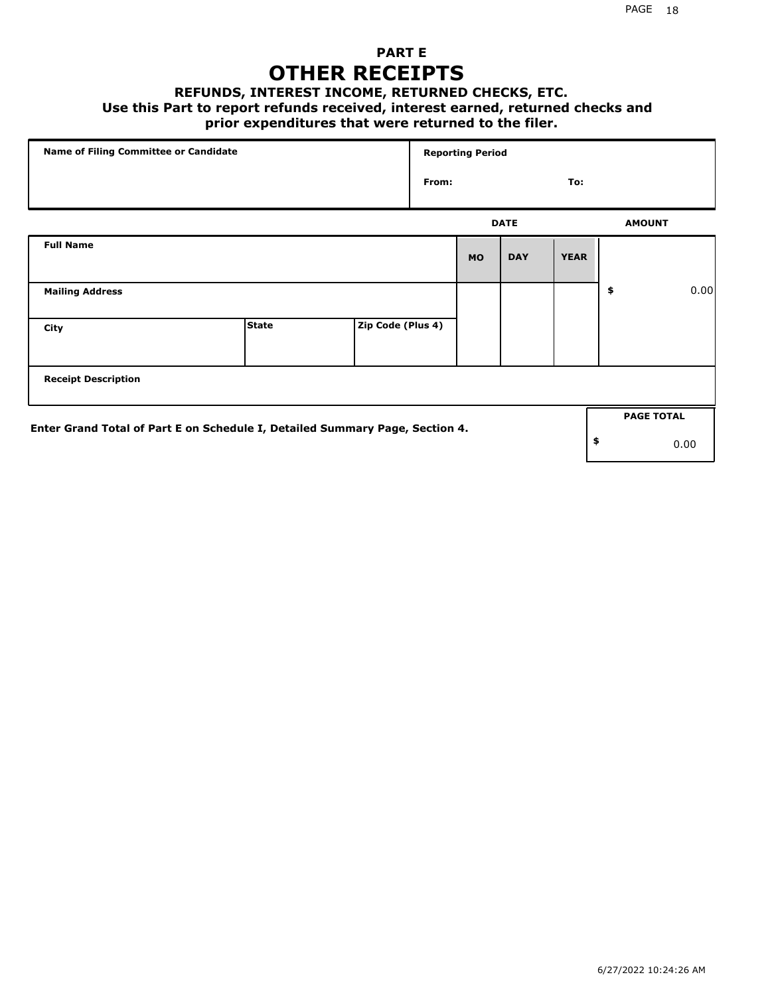## **PART E OTHER RECEIPTS**

#### **REFUNDS, INTEREST INCOME, RETURNED CHECKS, ETC.**

#### **Use this Part to report refunds received, interest earned, returned checks and**

## **prior expenditures that were returned to the filer.**

|                                                                              | Name of Filing Committee or Candidate |                   |       | <b>Reporting Period</b> |             |             |    |                   |      |
|------------------------------------------------------------------------------|---------------------------------------|-------------------|-------|-------------------------|-------------|-------------|----|-------------------|------|
|                                                                              |                                       |                   | From: |                         |             | To:         |    |                   |      |
|                                                                              |                                       |                   |       |                         | <b>DATE</b> |             |    | <b>AMOUNT</b>     |      |
| <b>Full Name</b>                                                             |                                       |                   |       | <b>MO</b>               | <b>DAY</b>  | <b>YEAR</b> |    |                   |      |
| <b>Mailing Address</b>                                                       |                                       |                   |       |                         |             |             | \$ |                   | 0.00 |
| City                                                                         | <b>State</b>                          | Zip Code (Plus 4) |       |                         |             |             |    |                   |      |
| <b>Receipt Description</b>                                                   |                                       |                   |       |                         |             |             |    |                   |      |
|                                                                              |                                       |                   |       |                         |             |             |    | <b>PAGE TOTAL</b> |      |
| Enter Grand Total of Part E on Schedule I, Detailed Summary Page, Section 4. |                                       |                   |       |                         |             |             | \$ |                   | 0.00 |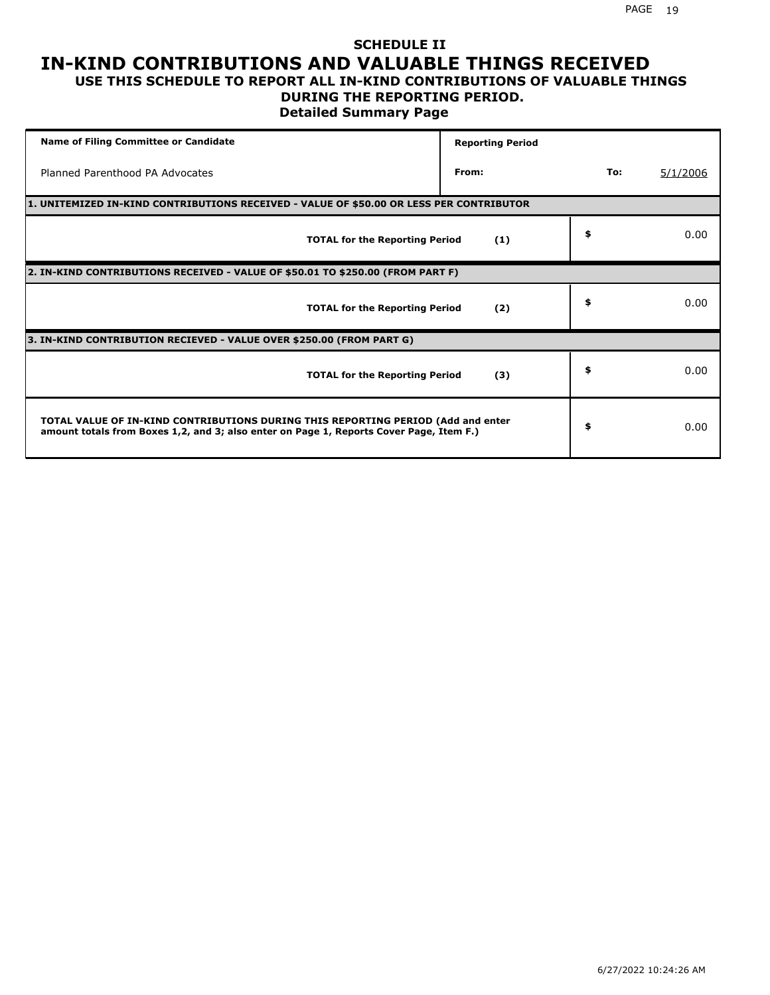### **SCHEDULE II IN-KIND CONTRIBUTIONS AND VALUABLE THINGS RECEIVED USE THIS SCHEDULE TO REPORT ALL IN-KIND CONTRIBUTIONS OF VALUABLE THINGS**

## **DURING THE REPORTING PERIOD.**

**Detailed Summary Page**

| <b>Name of Filing Committee or Candidate</b>                                                                                                                                | <b>Reporting Period</b> |     |          |
|-----------------------------------------------------------------------------------------------------------------------------------------------------------------------------|-------------------------|-----|----------|
| Planned Parenthood PA Advocates                                                                                                                                             | From:                   | To: | 5/1/2006 |
| 1. UNITEMIZED IN-KIND CONTRIBUTIONS RECEIVED - VALUE OF \$50.00 OR LESS PER CONTRIBUTOR                                                                                     |                         |     |          |
| <b>TOTAL for the Reporting Period</b>                                                                                                                                       | (1)                     | \$  | 0.00     |
| 2. IN-KIND CONTRIBUTIONS RECEIVED - VALUE OF \$50.01 TO \$250.00 (FROM PART F)                                                                                              |                         |     |          |
| <b>TOTAL for the Reporting Period</b>                                                                                                                                       | (2)                     | \$  | 0.00     |
| 3. IN-KIND CONTRIBUTION RECIEVED - VALUE OVER \$250.00 (FROM PART G)                                                                                                        |                         |     |          |
| <b>TOTAL for the Reporting Period</b>                                                                                                                                       | (3)                     | \$  | 0.00     |
| TOTAL VALUE OF IN-KIND CONTRIBUTIONS DURING THIS REPORTING PERIOD (Add and enter<br>amount totals from Boxes 1,2, and 3; also enter on Page 1, Reports Cover Page, Item F.) |                         | \$  | 0.00     |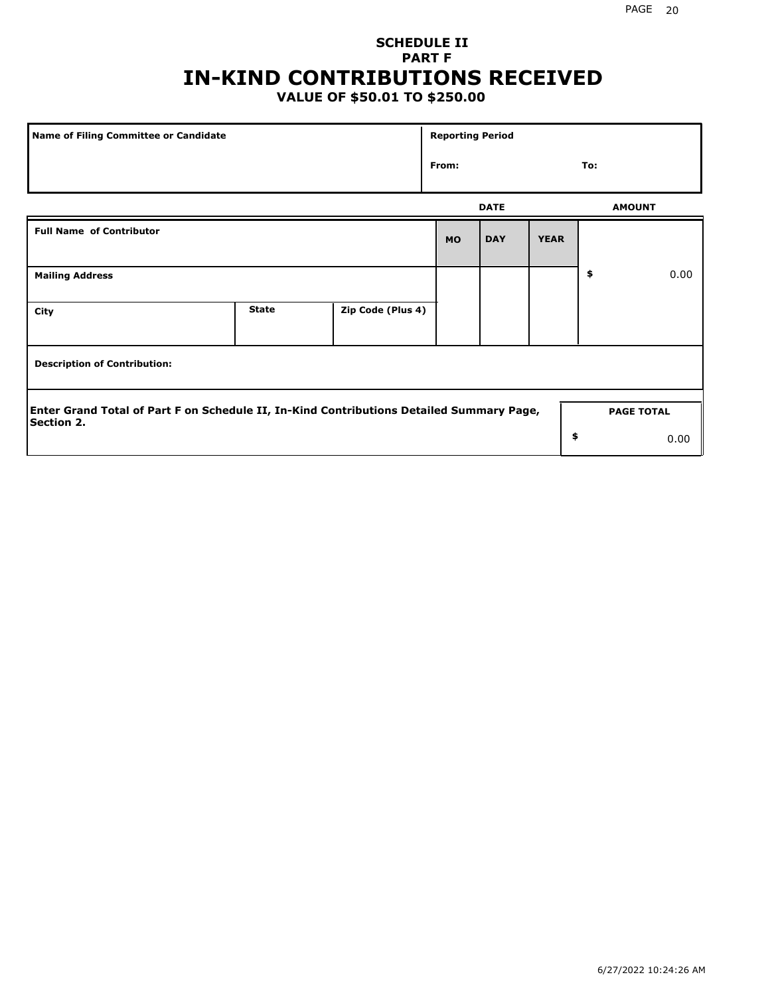## **SCHEDULE II PART F IN-KIND CONTRIBUTIONS RECEIVED**

## **VALUE OF \$50.01 TO \$250.00**

| Name of Filing Committee or Candidate                                                                         |              |                   |           | <b>Reporting Period</b> |             |               |                   |  |
|---------------------------------------------------------------------------------------------------------------|--------------|-------------------|-----------|-------------------------|-------------|---------------|-------------------|--|
| From:                                                                                                         |              |                   |           |                         |             | To:           |                   |  |
|                                                                                                               |              |                   |           | <b>DATE</b>             |             | <b>AMOUNT</b> |                   |  |
| <b>Full Name of Contributor</b>                                                                               |              |                   | <b>MO</b> | <b>DAY</b>              | <b>YEAR</b> |               |                   |  |
| <b>Mailing Address</b>                                                                                        |              |                   |           |                         |             | \$            | 0.00              |  |
| City                                                                                                          | <b>State</b> | Zip Code (Plus 4) |           |                         |             |               |                   |  |
| <b>Description of Contribution:</b>                                                                           |              |                   |           |                         |             |               |                   |  |
| Enter Grand Total of Part F on Schedule II, In-Kind Contributions Detailed Summary Page,<br><b>Section 2.</b> |              |                   |           |                         |             |               | <b>PAGE TOTAL</b> |  |
|                                                                                                               |              |                   |           |                         | \$          |               | 0.00              |  |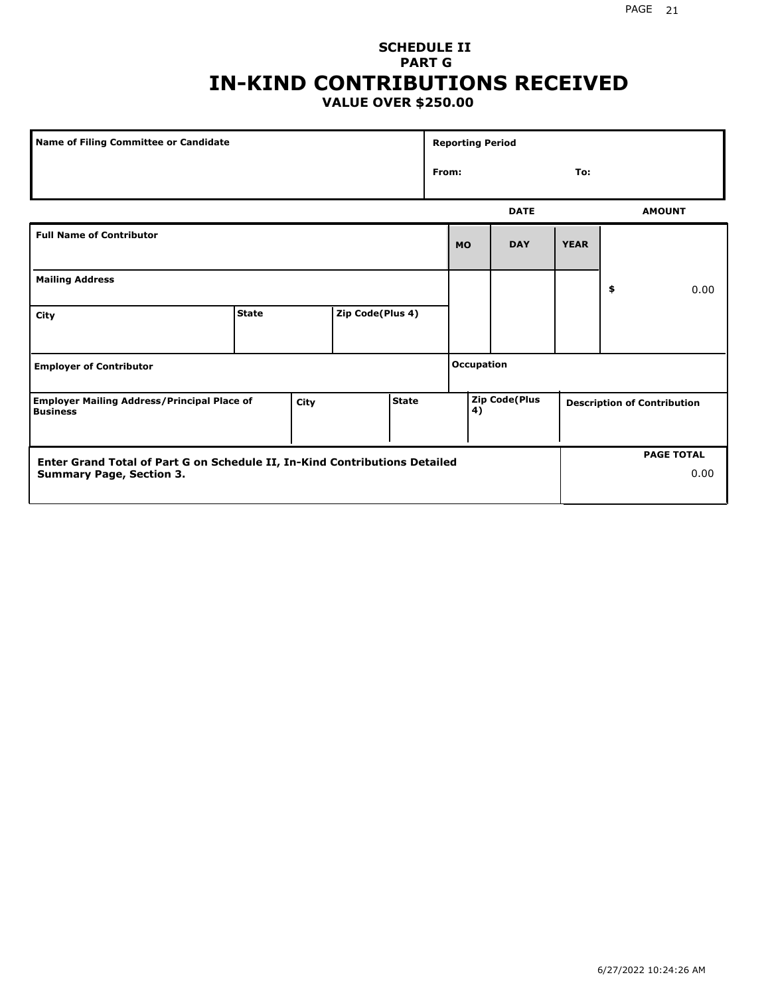#### PAGE 21

H

## **SCHEDULE II PART G IN-KIND CONTRIBUTIONS RECEIVED VALUE OVER \$250.00**

| <b>Name of Filing Committee or Candidate</b>                                                                  |              |      |                  |              | <b>Reporting Period</b> |                   |                      |             |    |                                    |
|---------------------------------------------------------------------------------------------------------------|--------------|------|------------------|--------------|-------------------------|-------------------|----------------------|-------------|----|------------------------------------|
|                                                                                                               |              |      |                  |              |                         | From:<br>To:      |                      |             |    |                                    |
|                                                                                                               |              |      |                  |              |                         |                   | <b>DATE</b>          |             |    | <b>AMOUNT</b>                      |
| <b>Full Name of Contributor</b>                                                                               |              |      |                  |              |                         | <b>MO</b>         | <b>DAY</b>           | <b>YEAR</b> |    |                                    |
| <b>Mailing Address</b>                                                                                        |              |      |                  |              |                         |                   |                      |             | \$ | 0.00                               |
| City                                                                                                          | <b>State</b> |      | Zip Code(Plus 4) |              |                         |                   |                      |             |    |                                    |
| <b>Employer of Contributor</b>                                                                                |              |      |                  |              |                         | <b>Occupation</b> |                      |             |    |                                    |
| <b>Employer Mailing Address/Principal Place of</b><br><b>Business</b>                                         |              | City |                  | <b>State</b> |                         | 4)                | <b>Zip Code(Plus</b> |             |    | <b>Description of Contribution</b> |
| Enter Grand Total of Part G on Schedule II, In-Kind Contributions Detailed<br><b>Summary Page, Section 3.</b> |              |      |                  |              |                         |                   |                      |             |    | <b>PAGE TOTAL</b><br>0.00          |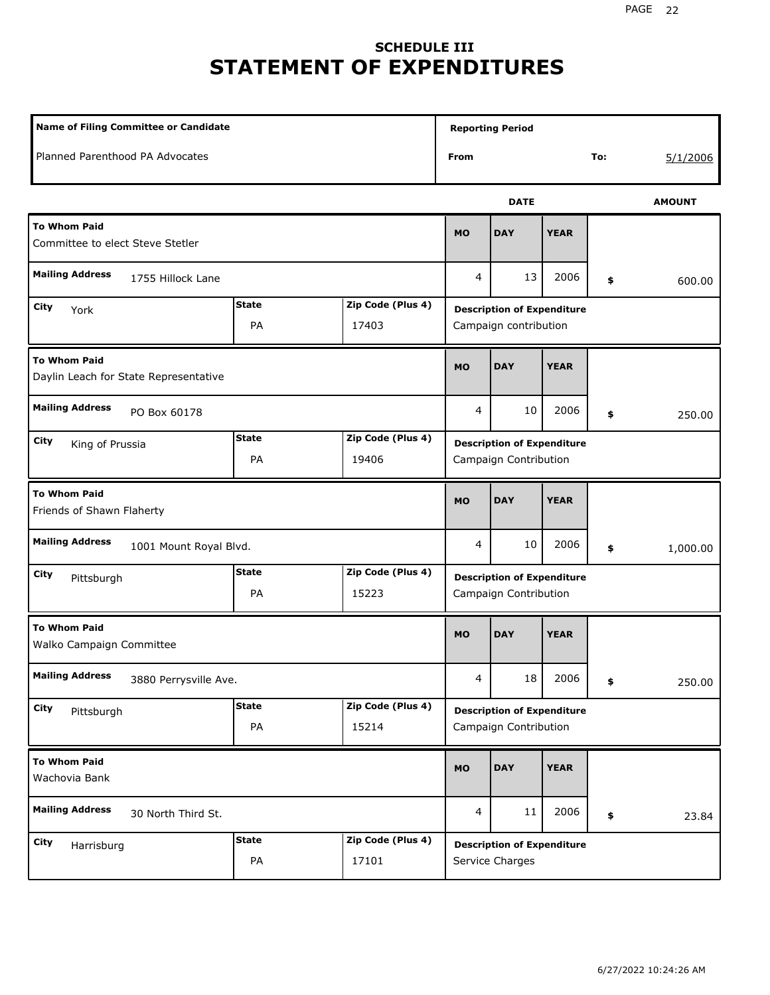# **SCHEDULE III STATEMENT OF EXPENDITURES**

|                                                                             | <b>Name of Filing Committee or Candidate</b> |                                                            |                |                                                            |             |     |               |  |
|-----------------------------------------------------------------------------|----------------------------------------------|------------------------------------------------------------|----------------|------------------------------------------------------------|-------------|-----|---------------|--|
| Planned Parenthood PA Advocates                                             |                                              |                                                            | From           |                                                            |             | To: | 5/1/2006      |  |
|                                                                             |                                              |                                                            |                | <b>DATE</b>                                                |             |     | <b>AMOUNT</b> |  |
| <b>To Whom Paid</b><br>Committee to elect Steve Stetler                     |                                              |                                                            | <b>MO</b>      | <b>DAY</b>                                                 | <b>YEAR</b> |     |               |  |
| <b>Mailing Address</b><br>1755 Hillock Lane                                 |                                              |                                                            | 4              | 13                                                         | 2006        | \$  | 600.00        |  |
| City<br>York                                                                |                                              | <b>Description of Expenditure</b><br>Campaign contribution |                |                                                            |             |     |               |  |
| <b>To Whom Paid</b><br>Daylin Leach for State Representative                | <b>MO</b>                                    | <b>DAY</b>                                                 | <b>YEAR</b>    |                                                            |             |     |               |  |
| <b>Mailing Address</b><br>PO Box 60178                                      |                                              |                                                            |                | 10                                                         | 2006        | \$  | 250.00        |  |
| <b>State</b><br>Zip Code (Plus 4)<br>City<br>King of Prussia<br>PA<br>19406 |                                              |                                                            |                | <b>Description of Expenditure</b><br>Campaign Contribution |             |     |               |  |
| <b>To Whom Paid</b><br>Friends of Shawn Flaherty                            |                                              |                                                            | <b>MO</b>      | <b>DAY</b>                                                 | <b>YEAR</b> |     |               |  |
| <b>Mailing Address</b><br>1001 Mount Royal Blvd.                            |                                              |                                                            | 4              | 10                                                         | 2006        | \$  | 1,000.00      |  |
| City<br>Pittsburgh                                                          | <b>State</b><br>PA                           | Zip Code (Plus 4)<br>15223                                 |                | <b>Description of Expenditure</b><br>Campaign Contribution |             |     |               |  |
| <b>To Whom Paid</b><br>Walko Campaign Committee                             |                                              |                                                            | <b>MO</b>      | <b>DAY</b>                                                 | <b>YEAR</b> |     |               |  |
| <b>Mailing Address</b><br>3880 Perrysville Ave.                             |                                              |                                                            | 4              | 18                                                         | 2006        | \$  | 250.00        |  |
| <b>City</b><br>Pittsburgh                                                   | <b>State</b><br>PA                           | Zip Code (Plus 4)<br>15214                                 |                | <b>Description of Expenditure</b><br>Campaign Contribution |             |     |               |  |
| <b>To Whom Paid</b><br>Wachovia Bank                                        |                                              |                                                            | MO             | <b>DAY</b>                                                 | <b>YEAR</b> |     |               |  |
| <b>Mailing Address</b><br>30 North Third St.                                |                                              |                                                            | $\overline{4}$ | 11                                                         | 2006        | \$  | 23.84         |  |
| City<br>Harrisburg                                                          | <b>State</b><br>PA                           | Zip Code (Plus 4)<br>17101                                 |                | <b>Description of Expenditure</b><br>Service Charges       |             |     |               |  |